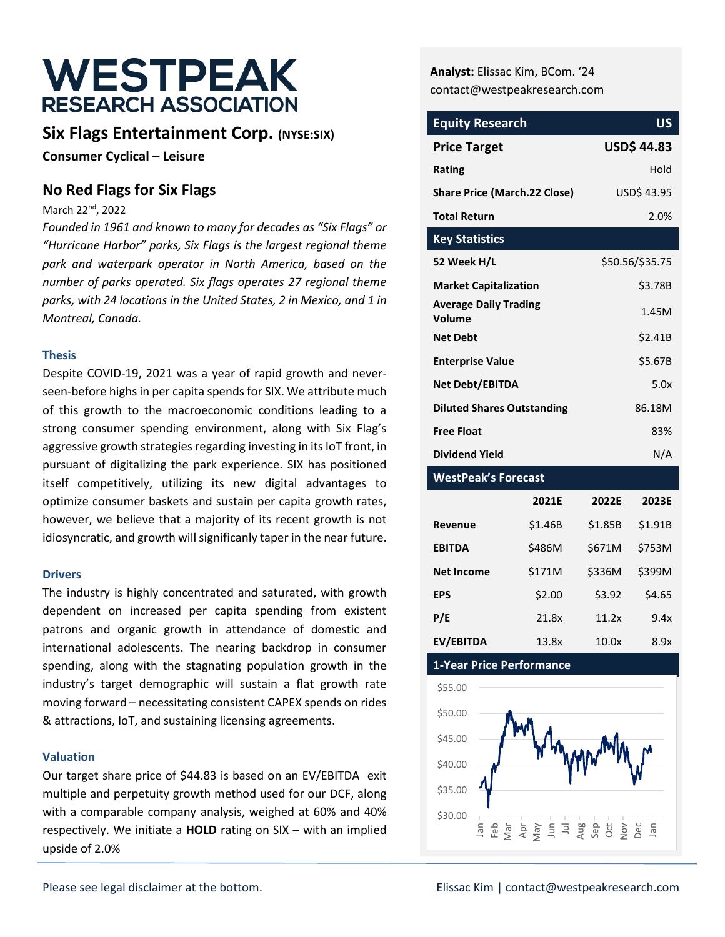# WESTPEAK **RESEARCH ASSOCIATION**

# **Six Flags Entertainment Corp. (NYSE:SIX)**

**Consumer Cyclical – Leisure**

# **No Red Flags for Six Flags**

March 22<sup>nd</sup>, 2022

*Founded in 1961 and known to many for decades as "Six Flags" or "Hurricane Harbor" parks, Six Flags is the largest regional theme park and waterpark operator in North America, based on the number of parks operated. Six flags operates 27 regional theme parks, with 24 locations in the United States, 2 in Mexico, and 1 in Montreal, Canada.*

#### **Thesis**

Despite COVID-19, 2021 was a year of rapid growth and neverseen-before highs in per capita spends for SIX. We attribute much of this growth to the macroeconomic conditions leading to a strong consumer spending environment, along with Six Flag's aggressive growth strategies regarding investing in its IoT front, in pursuant of digitalizing the park experience. SIX has positioned itself competitively, utilizing its new digital advantages to optimize consumer baskets and sustain per capita growth rates, however, we believe that a majority of its recent growth is not idiosyncratic, and growth will significanly taper in the near future.

#### **Drivers**

The industry is highly concentrated and saturated, with growth dependent on increased per capita spending from existent patrons and organic growth in attendance of domestic and international adolescents. The nearing backdrop in consumer spending, along with the stagnating population growth in the industry's target demographic will sustain a flat growth rate moving forward – necessitating consistent CAPEX spends on rides & attractions, IoT, and sustaining licensing agreements.

#### **Valuation**

Our target share price of \$44.83 is based on an EV/EBITDA exit multiple and perpetuity growth method used for our DCF, along with a comparable company analysis, weighed at 60% and 40% respectively. We initiate a **HOLD** rating on SIX – with an implied upside of 2.0%

**Analyst:** Elissac Kim, BCom. '24 contact@westpeakresearch.com

| <b>Equity Research</b>                 | US                |
|----------------------------------------|-------------------|
| <b>Price Target</b>                    | <b>USD\$44.83</b> |
| Rating                                 | <b>Hold</b>       |
| <b>Share Price (March.22 Close)</b>    | USD\$ 43.95       |
| <b>Total Return</b>                    | 2.0%              |
| <b>Key Statistics</b>                  |                   |
| 52 Week H/L                            | \$50.56/\$35.75   |
| <b>Market Capitalization</b>           | \$3.78B           |
| <b>Average Daily Trading</b><br>Volume | 1.45M             |
| <b>Net Debt</b>                        | \$2.41B           |
| <b>Enterprise Value</b>                | \$5.67B           |
| Net Debt/EBITDA                        | 5.0x              |
| <b>Diluted Shares Outstanding</b>      | 86.18M            |
| <b>Free Float</b>                      | 83%               |
| Dividend Yield                         | N/A               |

#### **WestPeak's Forecast**

|                   | 2021E   | 2022E   | 2023E   |
|-------------------|---------|---------|---------|
| <b>Revenue</b>    | \$1.46B | \$1.85B | \$1.91B |
| <b>EBITDA</b>     | \$486M  | \$671M  | \$753M  |
| <b>Net Income</b> | \$171M  | \$336M  | \$399M  |
| EPS               | \$2.00  | \$3.92  | \$4.65  |
| P/E               | 21.8x   | 11.2x   | 9.4x    |
| EV/EBITDA         | 13.8x   | 10.0x   | 8.9x    |

#### **1-Year Price Performance**

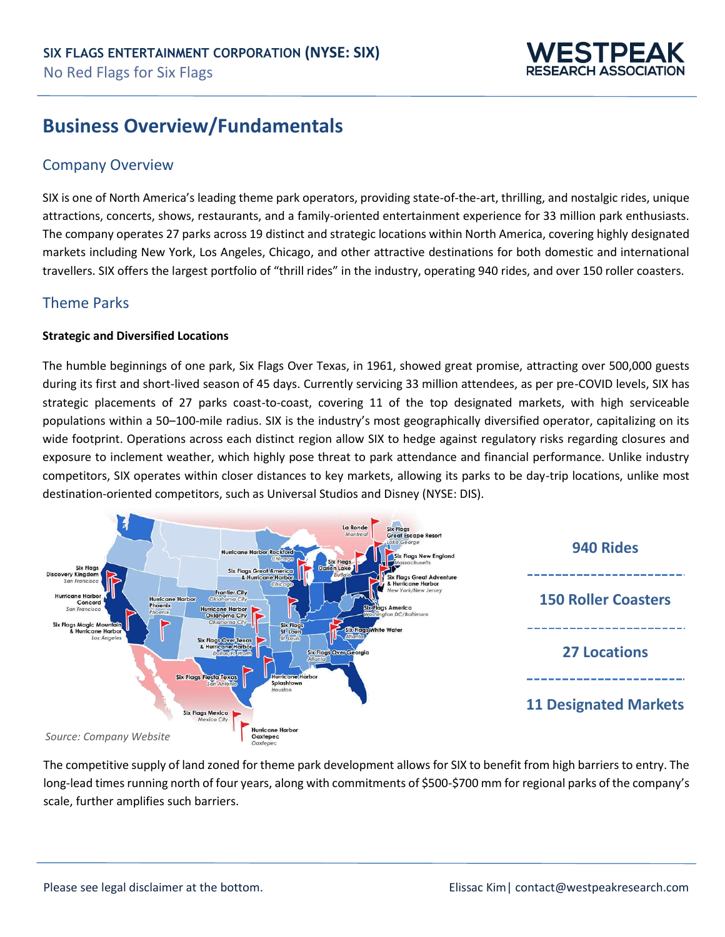

# **Business Overview/Fundamentals**

### Company Overview

SIX is one of North America's leading theme park operators, providing state-of-the-art, thrilling, and nostalgic rides, unique attractions, concerts, shows, restaurants, and a family-oriented entertainment experience for 33 million park enthusiasts. The company operates 27 parks across 19 distinct and strategic locations within North America, covering highly designated markets including New York, Los Angeles, Chicago, and other attractive destinations for both domestic and international travellers. SIX offers the largest portfolio of "thrill rides" in the industry, operating 940 rides, and over 150 roller coasters.

#### Theme Parks

#### **Strategic and Diversified Locations**

The humble beginnings of one park, Six Flags Over Texas, in 1961, showed great promise, attracting over 500,000 guests during its first and short-lived season of 45 days. Currently servicing 33 million attendees, as per pre-COVID levels, SIX has strategic placements of 27 parks coast-to-coast, covering 11 of the top designated markets, with high serviceable populations within a 50–100-mile radius. SIX is the industry's most geographically diversified operator, capitalizing on its wide footprint. Operations across each distinct region allow SIX to hedge against regulatory risks regarding closures and exposure to inclement weather, which highly pose threat to park attendance and financial performance. Unlike industry competitors, SIX operates within closer distances to key markets, allowing its parks to be day-trip locations, unlike most destination-oriented competitors, such as Universal Studios and Disney (NYSE: DIS).



The competitive supply of land zoned for theme park development allows for SIX to benefit from high barriers to entry. The long-lead times running north of four years, along with commitments of \$500-\$700 mm for regional parks of the company's scale, further amplifies such barriers.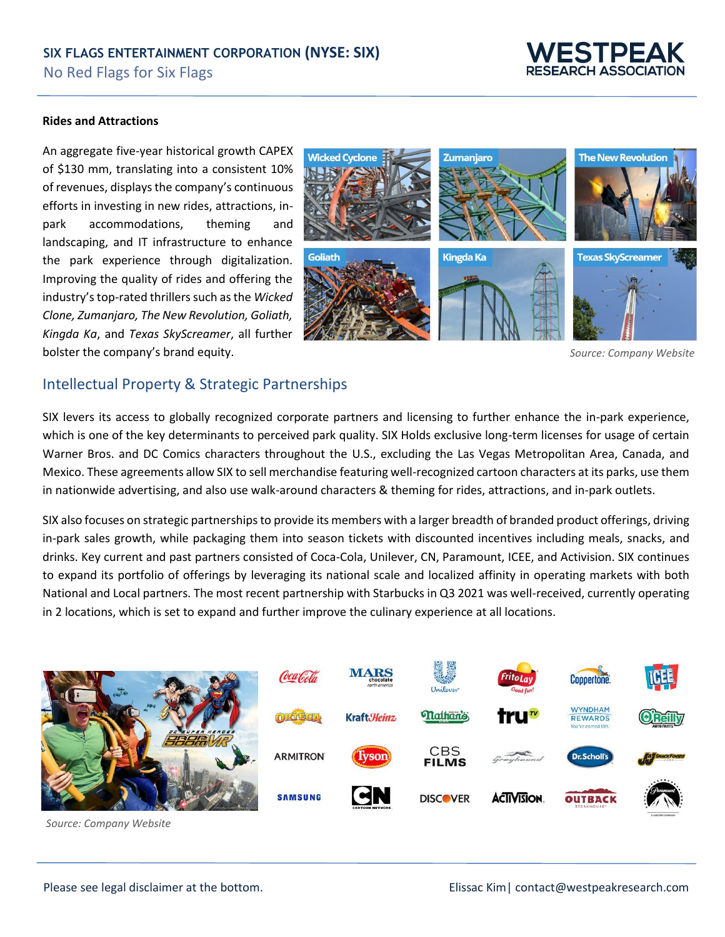

#### **Rides and Attractions**

An aggregate five-year historical growth CAPEX of \$130 mm, translating into a consistent 10% of revenues, displays the company's continuous efforts in investing in new rides, attractions, inpark accommodations, theming and landscaping, and IT infrastructure to enhance the park experience through digitalization. Improving the quality of rides and offering the industry's top-rated thrillers such as the *Wicked Clone, Zumanjaro, The New Revolution, Goliath, Kingda Ka*, and *Texas SkyScreamer*, all further bolster the company's brand equity.



*Source: Company Website*

#### Intellectual Property & Strategic Partnerships

SIX levers its access to globally recognized corporate partners and licensing to further enhance the in-park experience, which is one of the key determinants to perceived park quality. SIX Holds exclusive long-term licenses for usage of certain Warner Bros. and DC Comics characters throughout the U.S., excluding the Las Vegas Metropolitan Area, Canada, and Mexico. These agreements allow SIX to sell merchandise featuring well-recognized cartoon characters at its parks, use them in nationwide advertising, and also use walk-around characters & theming for rides, attractions, and in-park outlets.

SIX also focuses on strategic partnerships to provide its members with a larger breadth of branded product offerings, driving in-park sales growth, while packaging them into season tickets with discounted incentives including meals, snacks, and drinks. Key current and past partners consisted of Coca-Cola, Unilever, CN, Paramount, ICEE, and Activision. SIX continues to expand its portfolio of offerings by leveraging its national scale and localized affinity in operating markets with both National and Local partners. The most recent partnership with Starbucks in Q3 2021 was well-received, currently operating in 2 locations, which is set to expand and further improve the culinary experience at all locations.



*Source: Company Website*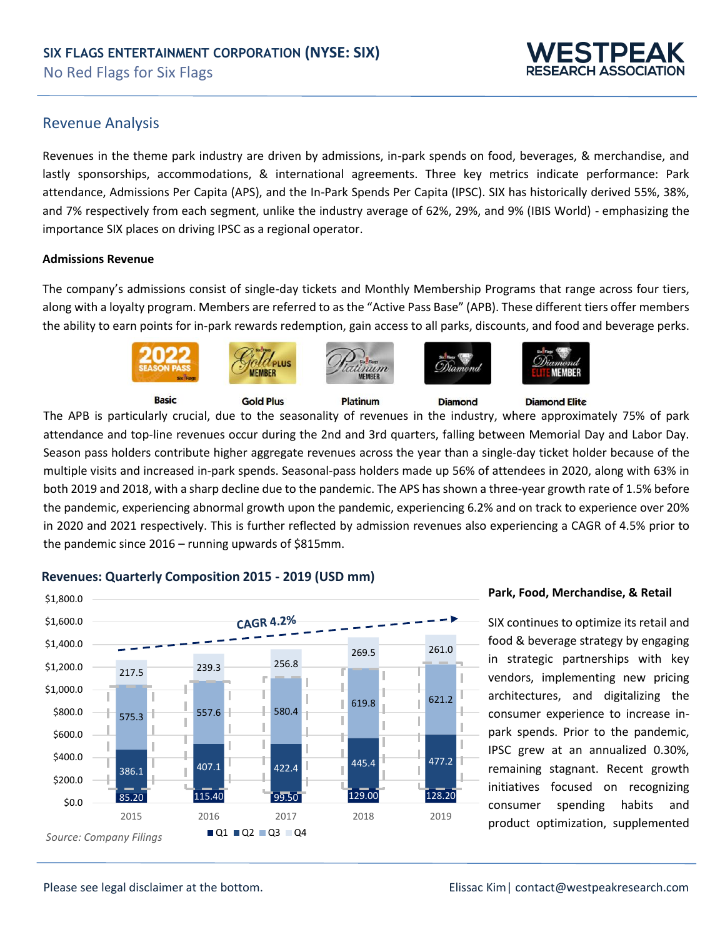# ESTPEA SEARCH ASSOCIATION

#### Revenue Analysis

Revenues in the theme park industry are driven by admissions, in-park spends on food, beverages, & merchandise, and lastly sponsorships, accommodations, & international agreements. Three key metrics indicate performance: Park attendance, Admissions Per Capita (APS), and the In-Park Spends Per Capita (IPSC). SIX has historically derived 55%, 38%, and 7% respectively from each segment, unlike the industry average of 62%, 29%, and 9% (IBIS World) - emphasizing the importance SIX places on driving IPSC as a regional operator.

#### **Admissions Revenue**

The company's admissions consist of single-day tickets and Monthly Membership Programs that range across four tiers, along with a loyalty program. Members are referred to as the "Active Pass Base" (APB). These different tiers offer members the ability to earn points for in-park rewards redemption, gain access to all parks, discounts, and food and beverage perks.



**Diamond** 

**Basic** 

**Gold Plus** 



The APB is particularly crucial, due to the seasonality of revenues in the industry, where approximately 75% of park attendance and top-line revenues occur during the 2nd and 3rd quarters, falling between Memorial Day and Labor Day. Season pass holders contribute higher aggregate revenues across the year than a single-day ticket holder because of the multiple visits and increased in-park spends. Seasonal-pass holders made up 56% of attendees in 2020, along with 63% in both 2019 and 2018, with a sharp decline due to the pandemic. The APS has shown a three-year growth rate of 1.5% before the pandemic, experiencing abnormal growth upon the pandemic, experiencing 6.2% and on track to experience over 20% in 2020 and 2021 respectively. This is further reflected by admission revenues also experiencing a CAGR of 4.5% prior to the pandemic since 2016 – running upwards of \$815mm.

**Platinum** 



#### **Revenues: Quarterly Composition 2015 - 2019 (USD mm)**

#### **Park, Food, Merchandise, & Retail**

**Diamond Elite** 

SIX continues to optimize its retail and food & beverage strategy by engaging in strategic partnerships with key vendors, implementing new pricing architectures, and digitalizing the consumer experience to increase inpark spends. Prior to the pandemic, IPSC grew at an annualized 0.30%, remaining stagnant. Recent growth initiatives focused on recognizing consumer spending habits and product optimization, supplemented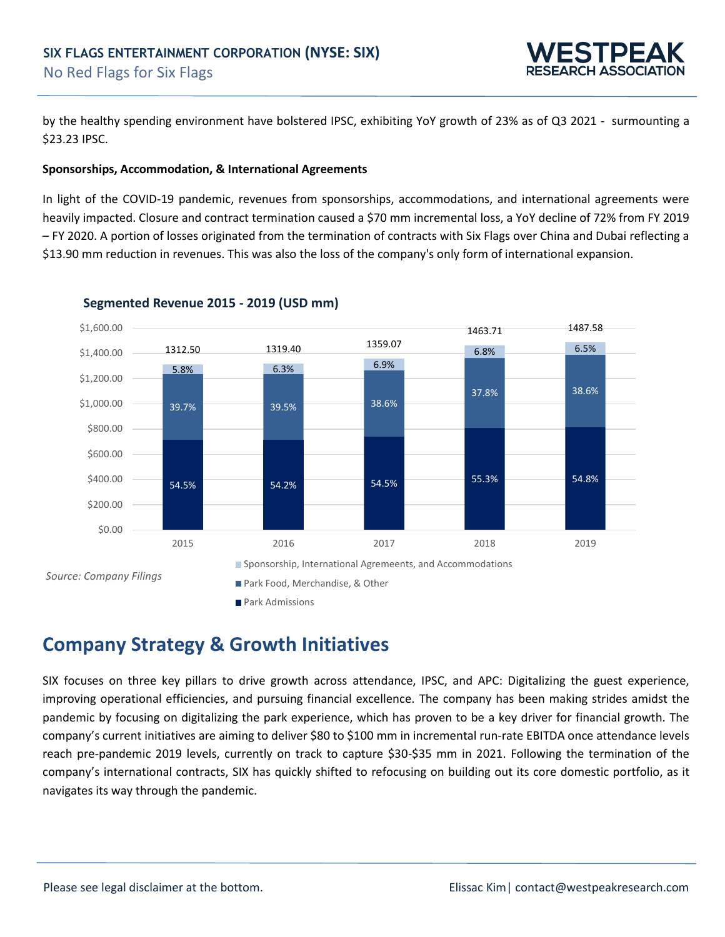

by the healthy spending environment have bolstered IPSC, exhibiting YoY growth of 23% as of Q3 2021 - surmounting a \$23.23 IPSC.

#### **Sponsorships, Accommodation, & International Agreements**

In light of the COVID-19 pandemic, revenues from sponsorships, accommodations, and international agreements were heavily impacted. Closure and contract termination caused a \$70 mm incremental loss, a YoY decline of 72% from FY 2019 – FY 2020. A portion of losses originated from the termination of contracts with Six Flags over China and Dubai reflecting a \$13.90 mm reduction in revenues. This was also the loss of the company's only form of international expansion.



#### **Segmented Revenue 2015 - 2019 (USD mm)**

**Company Strategy & Growth Initiatives**

SIX focuses on three key pillars to drive growth across attendance, IPSC, and APC: Digitalizing the guest experience, improving operational efficiencies, and pursuing financial excellence. The company has been making strides amidst the pandemic by focusing on digitalizing the park experience, which has proven to be a key driver for financial growth. The company's current initiatives are aiming to deliver \$80 to \$100 mm in incremental run-rate EBITDA once attendance levels reach pre-pandemic 2019 levels, currently on track to capture \$30-\$35 mm in 2021. Following the termination of the company's international contracts, SIX has quickly shifted to refocusing on building out its core domestic portfolio, as it navigates its way through the pandemic.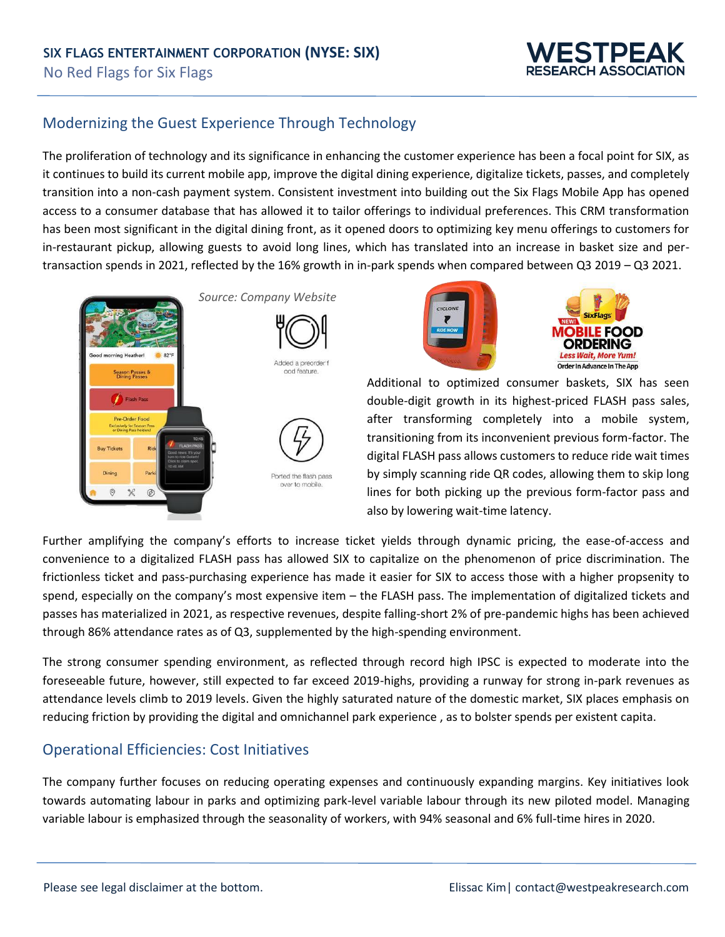

# Modernizing the Guest Experience Through Technology

The proliferation of technology and its significance in enhancing the customer experience has been a focal point for SIX, as it continues to build its current mobile app, improve the digital dining experience, digitalize tickets, passes, and completely transition into a non-cash payment system. Consistent investment into building out the Six Flags Mobile App has opened access to a consumer database that has allowed it to tailor offerings to individual preferences. This CRM transformation has been most significant in the digital dining front, as it opened doors to optimizing key menu offerings to customers for in-restaurant pickup, allowing guests to avoid long lines, which has translated into an increase in basket size and pertransaction spends in 2021, reflected by the 16% growth in in-park spends when compared between Q3 2019 – Q3 2021.







Additional to optimized consumer baskets, SIX has seen double-digit growth in its highest-priced FLASH pass sales, after transforming completely into a mobile system, transitioning from its inconvenient previous form-factor. The digital FLASH pass allows customers to reduce ride wait times by simply scanning ride QR codes, allowing them to skip long lines for both picking up the previous form-factor pass and also by lowering wait-time latency.

Further amplifying the company's efforts to increase ticket yields through dynamic pricing, the ease-of-access and convenience to a digitalized FLASH pass has allowed SIX to capitalize on the phenomenon of price discrimination. The frictionless ticket and pass-purchasing experience has made it easier for SIX to access those with a higher propsenity to spend, especially on the company's most expensive item – the FLASH pass. The implementation of digitalized tickets and passes has materialized in 2021, as respective revenues, despite falling-short 2% of pre-pandemic highs has been achieved through 86% attendance rates as of Q3, supplemented by the high-spending environment.

The strong consumer spending environment, as reflected through record high IPSC is expected to moderate into the foreseeable future, however, still expected to far exceed 2019-highs, providing a runway for strong in-park revenues as attendance levels climb to 2019 levels. Given the highly saturated nature of the domestic market, SIX places emphasis on reducing friction by providing the digital and omnichannel park experience , as to bolster spends per existent capita.

### Operational Efficiencies: Cost Initiatives

The company further focuses on reducing operating expenses and continuously expanding margins. Key initiatives look towards automating labour in parks and optimizing park-level variable labour through its new piloted model. Managing variable labour is emphasized through the seasonality of workers, with 94% seasonal and 6% full-time hires in 2020.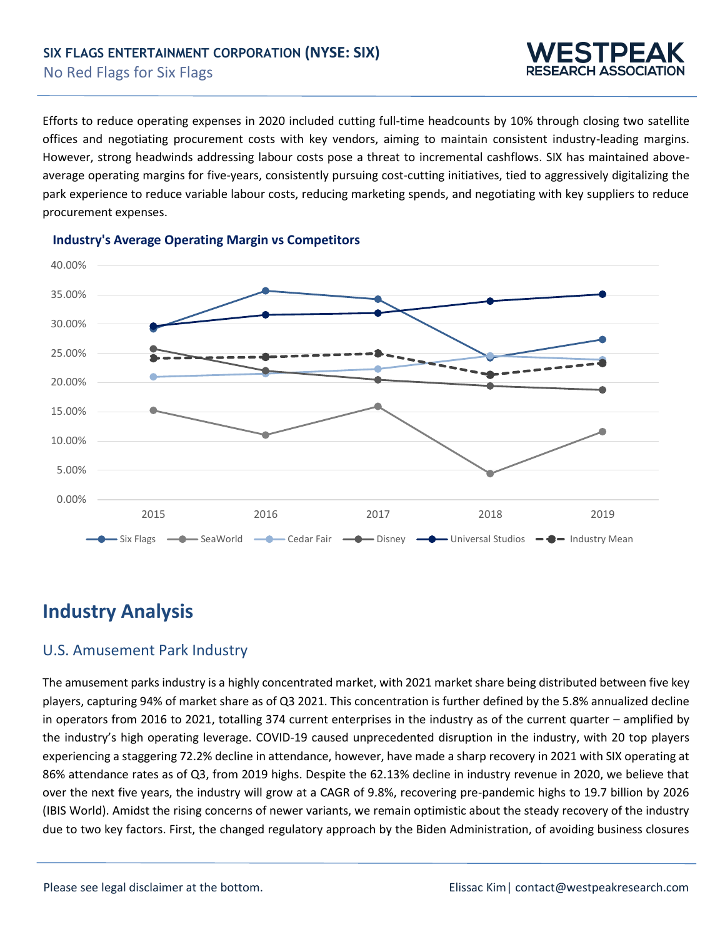

Efforts to reduce operating expenses in 2020 included cutting full-time headcounts by 10% through closing two satellite offices and negotiating procurement costs with key vendors, aiming to maintain consistent industry-leading margins. However, strong headwinds addressing labour costs pose a threat to incremental cashflows. SIX has maintained aboveaverage operating margins for five-years, consistently pursuing cost-cutting initiatives, tied to aggressively digitalizing the park experience to reduce variable labour costs, reducing marketing spends, and negotiating with key suppliers to reduce procurement expenses.



#### **Industry's Average Operating Margin vs Competitors**

# **Industry Analysis**

### U.S. Amusement Park Industry

The amusement parks industry is a highly concentrated market, with 2021 market share being distributed between five key players, capturing 94% of market share as of Q3 2021. This concentration is further defined by the 5.8% annualized decline in operators from 2016 to 2021, totalling 374 current enterprises in the industry as of the current quarter – amplified by the industry's high operating leverage. COVID-19 caused unprecedented disruption in the industry, with 20 top players experiencing a staggering 72.2% decline in attendance, however, have made a sharp recovery in 2021 with SIX operating at 86% attendance rates as of Q3, from 2019 highs. Despite the 62.13% decline in industry revenue in 2020, we believe that over the next five years, the industry will grow at a CAGR of 9.8%, recovering pre-pandemic highs to 19.7 billion by 2026 (IBIS World). Amidst the rising concerns of newer variants, we remain optimistic about the steady recovery of the industry due to two key factors. First, the changed regulatory approach by the Biden Administration, of avoiding business closures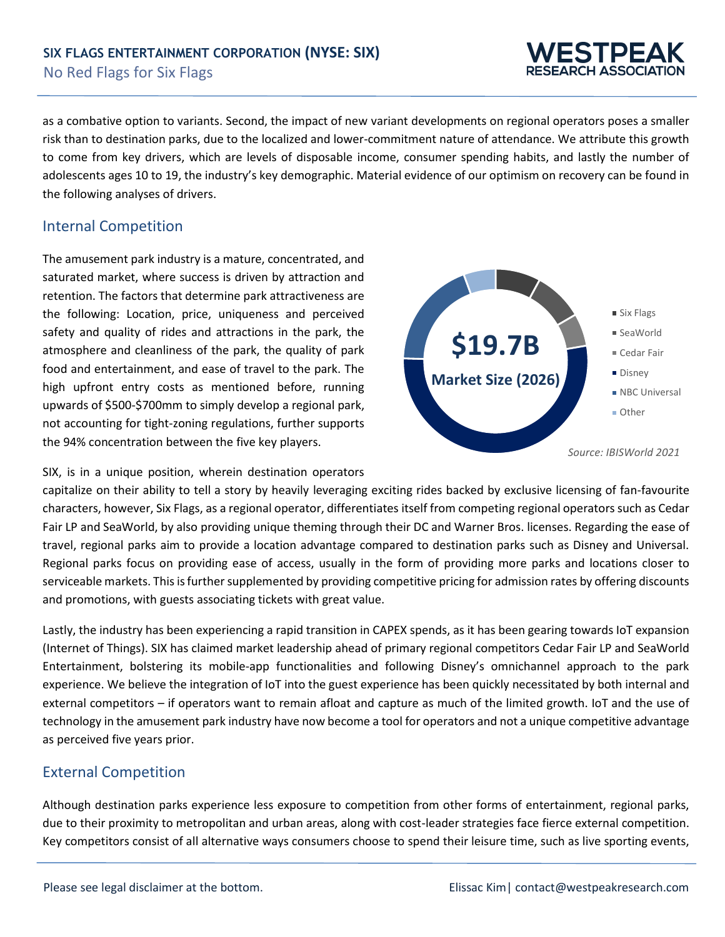

as a combative option to variants. Second, the impact of new variant developments on regional operators poses a smaller risk than to destination parks, due to the localized and lower-commitment nature of attendance. We attribute this growth to come from key drivers, which are levels of disposable income, consumer spending habits, and lastly the number of adolescents ages 10 to 19, the industry's key demographic. Material evidence of our optimism on recovery can be found in the following analyses of drivers.

#### Internal Competition

The amusement park industry is a mature, concentrated, and saturated market, where success is driven by attraction and retention. The factors that determine park attractiveness are the following: Location, price, uniqueness and perceived safety and quality of rides and attractions in the park, the atmosphere and cleanliness of the park, the quality of park food and entertainment, and ease of travel to the park. The high upfront entry costs as mentioned before, running upwards of \$500-\$700mm to simply develop a regional park, not accounting for tight-zoning regulations, further supports the 94% concentration between the five key players.



SIX, is in a unique position, wherein destination operators

capitalize on their ability to tell a story by heavily leveraging exciting rides backed by exclusive licensing of fan-favourite characters, however, Six Flags, as a regional operator, differentiates itself from competing regional operators such as Cedar Fair LP and SeaWorld, by also providing unique theming through their DC and Warner Bros. licenses. Regarding the ease of travel, regional parks aim to provide a location advantage compared to destination parks such as Disney and Universal. Regional parks focus on providing ease of access, usually in the form of providing more parks and locations closer to serviceable markets. This is further supplemented by providing competitive pricing for admission rates by offering discounts and promotions, with guests associating tickets with great value.

Lastly, the industry has been experiencing a rapid transition in CAPEX spends, as it has been gearing towards IoT expansion (Internet of Things). SIX has claimed market leadership ahead of primary regional competitors Cedar Fair LP and SeaWorld Entertainment, bolstering its mobile-app functionalities and following Disney's omnichannel approach to the park experience. We believe the integration of IoT into the guest experience has been quickly necessitated by both internal and external competitors – if operators want to remain afloat and capture as much of the limited growth. IoT and the use of technology in the amusement park industry have now become a tool for operators and not a unique competitive advantage as perceived five years prior.

### External Competition

Although destination parks experience less exposure to competition from other forms of entertainment, regional parks, due to their proximity to metropolitan and urban areas, along with cost-leader strategies face fierce external competition. Key competitors consist of all alternative ways consumers choose to spend their leisure time, such as live sporting events,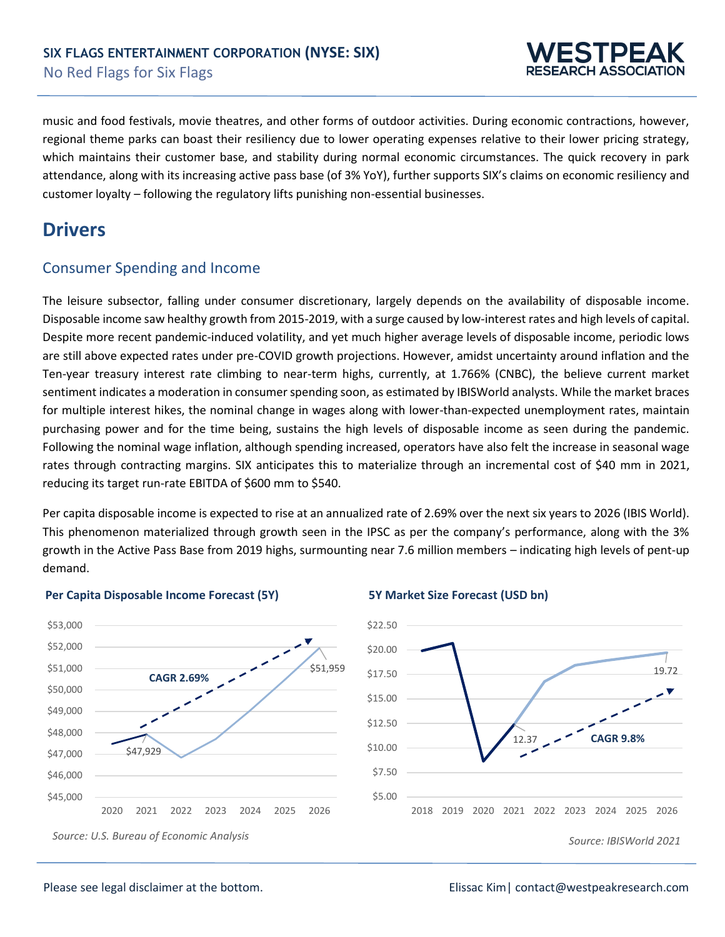

music and food festivals, movie theatres, and other forms of outdoor activities. During economic contractions, however, regional theme parks can boast their resiliency due to lower operating expenses relative to their lower pricing strategy, which maintains their customer base, and stability during normal economic circumstances. The quick recovery in park attendance, along with its increasing active pass base (of 3% YoY), further supports SIX's claims on economic resiliency and customer loyalty – following the regulatory lifts punishing non-essential businesses.

# **Drivers**

### Consumer Spending and Income

The leisure subsector, falling under consumer discretionary, largely depends on the availability of disposable income. Disposable income saw healthy growth from 2015-2019, with a surge caused by low-interest rates and high levels of capital. Despite more recent pandemic-induced volatility, and yet much higher average levels of disposable income, periodic lows are still above expected rates under pre-COVID growth projections. However, amidst uncertainty around inflation and the Ten-year treasury interest rate climbing to near-term highs, currently, at 1.766% (CNBC), the believe current market sentiment indicates a moderation in consumer spending soon, as estimated by IBISWorld analysts. While the market braces for multiple interest hikes, the nominal change in wages along with lower-than-expected unemployment rates, maintain purchasing power and for the time being, sustains the high levels of disposable income as seen during the pandemic. Following the nominal wage inflation, although spending increased, operators have also felt the increase in seasonal wage rates through contracting margins. SIX anticipates this to materialize through an incremental cost of \$40 mm in 2021, reducing its target run-rate EBITDA of \$600 mm to \$540.

Per capita disposable income is expected to rise at an annualized rate of 2.69% over the next six years to 2026 (IBIS World). This phenomenon materialized through growth seen in the IPSC as per the company's performance, along with the 3% growth in the Active Pass Base from 2019 highs, surmounting near 7.6 million members – indicating high levels of pent-up demand.



#### **Per Capita Disposable Income Forecast (5Y) 5Y Market Size Forecast (USD bn)**

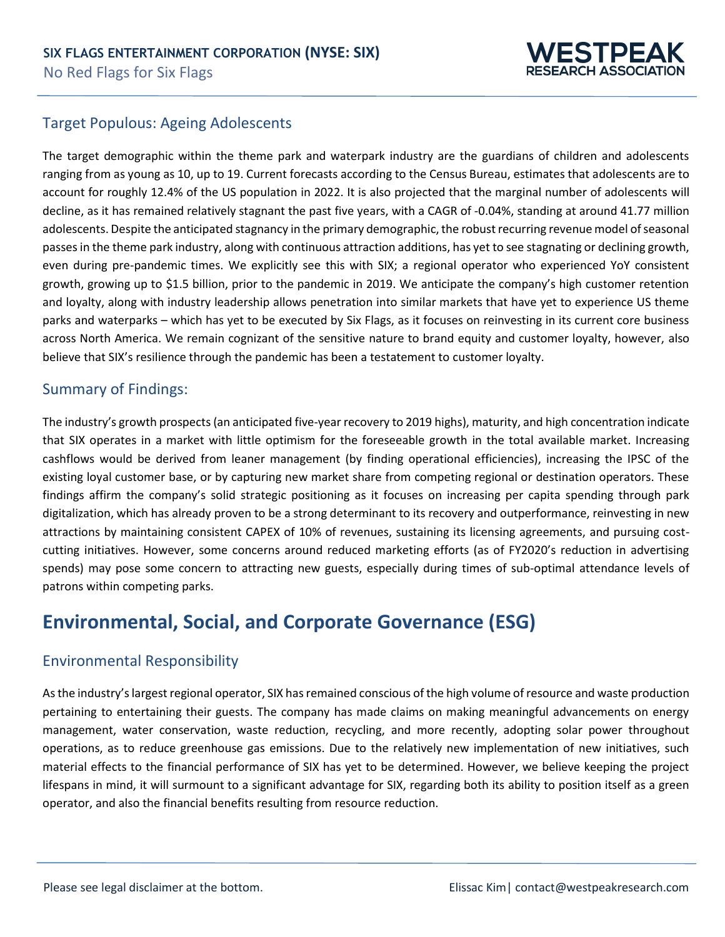

### Target Populous: Ageing Adolescents

The target demographic within the theme park and waterpark industry are the guardians of children and adolescents ranging from as young as 10, up to 19. Current forecasts according to the Census Bureau, estimates that adolescents are to account for roughly 12.4% of the US population in 2022. It is also projected that the marginal number of adolescents will decline, as it has remained relatively stagnant the past five years, with a CAGR of -0.04%, standing at around 41.77 million adolescents. Despite the anticipated stagnancy in the primary demographic, the robust recurring revenue model of seasonal passes in the theme park industry, along with continuous attraction additions, has yet to see stagnating or declining growth, even during pre-pandemic times. We explicitly see this with SIX; a regional operator who experienced YoY consistent growth, growing up to \$1.5 billion, prior to the pandemic in 2019. We anticipate the company's high customer retention and loyalty, along with industry leadership allows penetration into similar markets that have yet to experience US theme parks and waterparks – which has yet to be executed by Six Flags, as it focuses on reinvesting in its current core business across North America. We remain cognizant of the sensitive nature to brand equity and customer loyalty, however, also believe that SIX's resilience through the pandemic has been a testatement to customer loyalty.

#### Summary of Findings:

The industry's growth prospects (an anticipated five-year recovery to 2019 highs), maturity, and high concentration indicate that SIX operates in a market with little optimism for the foreseeable growth in the total available market. Increasing cashflows would be derived from leaner management (by finding operational efficiencies), increasing the IPSC of the existing loyal customer base, or by capturing new market share from competing regional or destination operators. These findings affirm the company's solid strategic positioning as it focuses on increasing per capita spending through park digitalization, which has already proven to be a strong determinant to its recovery and outperformance, reinvesting in new attractions by maintaining consistent CAPEX of 10% of revenues, sustaining its licensing agreements, and pursuing costcutting initiatives. However, some concerns around reduced marketing efforts (as of FY2020's reduction in advertising spends) may pose some concern to attracting new guests, especially during times of sub-optimal attendance levels of patrons within competing parks.

# **Environmental, Social, and Corporate Governance (ESG)**

#### Environmental Responsibility

As the industry's largest regional operator, SIX has remained conscious of the high volume of resource and waste production pertaining to entertaining their guests. The company has made claims on making meaningful advancements on energy management, water conservation, waste reduction, recycling, and more recently, adopting solar power throughout operations, as to reduce greenhouse gas emissions. Due to the relatively new implementation of new initiatives, such material effects to the financial performance of SIX has yet to be determined. However, we believe keeping the project lifespans in mind, it will surmount to a significant advantage for SIX, regarding both its ability to position itself as a green operator, and also the financial benefits resulting from resource reduction.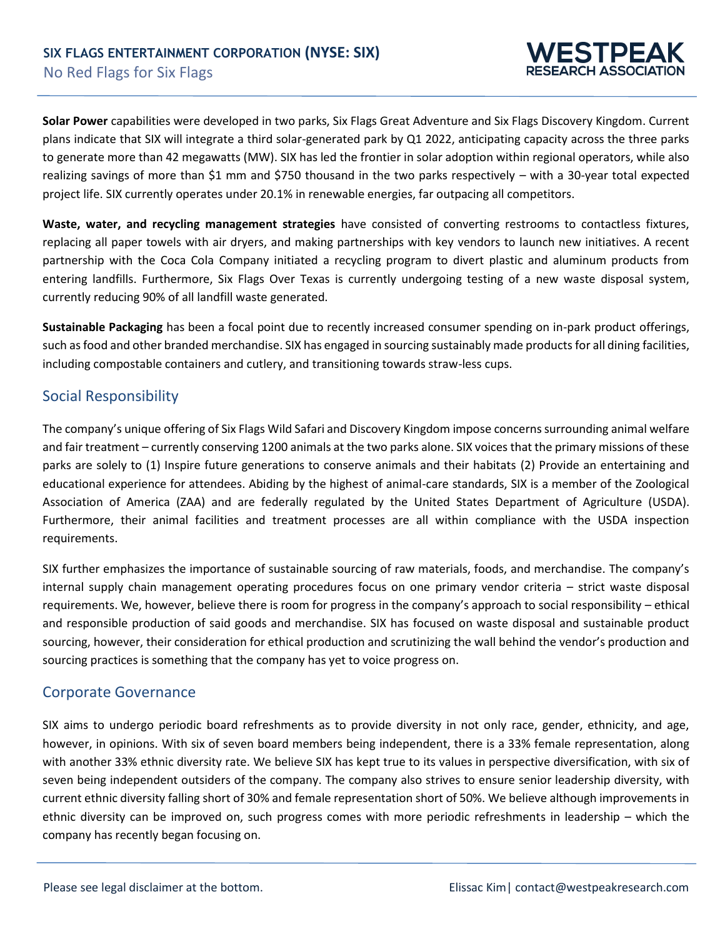

**Solar Power** capabilities were developed in two parks, Six Flags Great Adventure and Six Flags Discovery Kingdom. Current plans indicate that SIX will integrate a third solar-generated park by Q1 2022, anticipating capacity across the three parks to generate more than 42 megawatts (MW). SIX has led the frontier in solar adoption within regional operators, while also realizing savings of more than \$1 mm and \$750 thousand in the two parks respectively – with a 30-year total expected project life. SIX currently operates under 20.1% in renewable energies, far outpacing all competitors.

**Waste, water, and recycling management strategies** have consisted of converting restrooms to contactless fixtures, replacing all paper towels with air dryers, and making partnerships with key vendors to launch new initiatives. A recent partnership with the Coca Cola Company initiated a recycling program to divert plastic and aluminum products from entering landfills. Furthermore, Six Flags Over Texas is currently undergoing testing of a new waste disposal system, currently reducing 90% of all landfill waste generated.

**Sustainable Packaging** has been a focal point due to recently increased consumer spending on in-park product offerings, such as food and other branded merchandise. SIX has engaged in sourcing sustainably made products for all dining facilities, including compostable containers and cutlery, and transitioning towards straw-less cups.

#### Social Responsibility

The company's unique offering of Six Flags Wild Safari and Discovery Kingdom impose concerns surrounding animal welfare and fair treatment – currently conserving 1200 animals at the two parks alone. SIX voices that the primary missions of these parks are solely to (1) Inspire future generations to conserve animals and their habitats (2) Provide an entertaining and educational experience for attendees. Abiding by the highest of animal-care standards, SIX is a member of the Zoological Association of America (ZAA) and are federally regulated by the United States Department of Agriculture (USDA). Furthermore, their animal facilities and treatment processes are all within compliance with the USDA inspection requirements.

SIX further emphasizes the importance of sustainable sourcing of raw materials, foods, and merchandise. The company's internal supply chain management operating procedures focus on one primary vendor criteria – strict waste disposal requirements. We, however, believe there is room for progress in the company's approach to social responsibility – ethical and responsible production of said goods and merchandise. SIX has focused on waste disposal and sustainable product sourcing, however, their consideration for ethical production and scrutinizing the wall behind the vendor's production and sourcing practices is something that the company has yet to voice progress on.

#### Corporate Governance

SIX aims to undergo periodic board refreshments as to provide diversity in not only race, gender, ethnicity, and age, however, in opinions. With six of seven board members being independent, there is a 33% female representation, along with another 33% ethnic diversity rate. We believe SIX has kept true to its values in perspective diversification, with six of seven being independent outsiders of the company. The company also strives to ensure senior leadership diversity, with current ethnic diversity falling short of 30% and female representation short of 50%. We believe although improvements in ethnic diversity can be improved on, such progress comes with more periodic refreshments in leadership – which the company has recently began focusing on.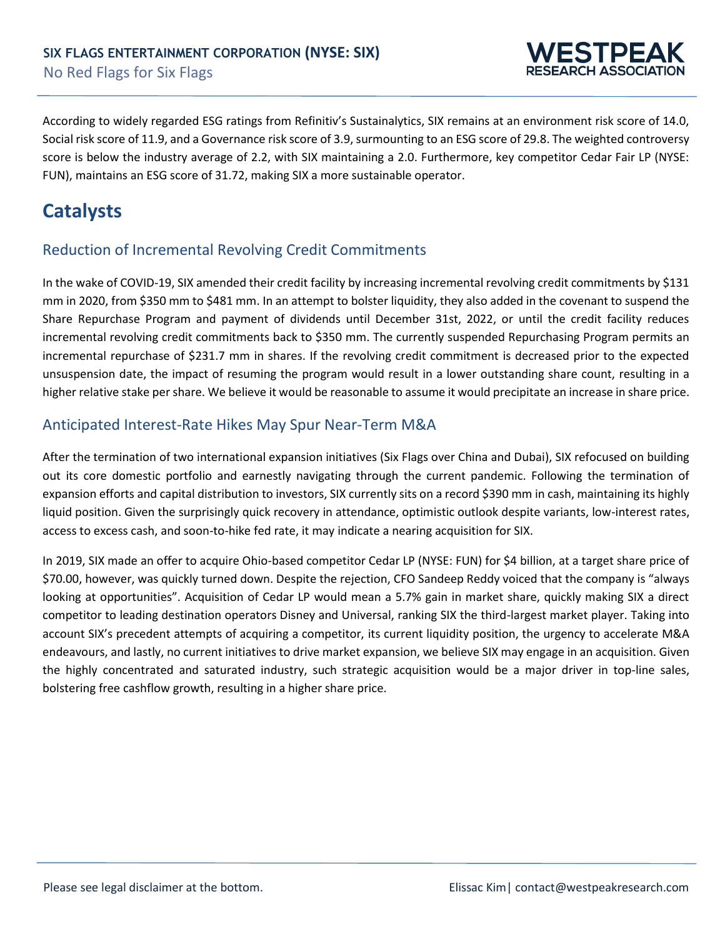

According to widely regarded ESG ratings from Refinitiv's Sustainalytics, SIX remains at an environment risk score of 14.0, Social risk score of 11.9, and a Governance risk score of 3.9, surmounting to an ESG score of 29.8. The weighted controversy score is below the industry average of 2.2, with SIX maintaining a 2.0. Furthermore, key competitor Cedar Fair LP (NYSE: FUN), maintains an ESG score of 31.72, making SIX a more sustainable operator.

# **Catalysts**

### Reduction of Incremental Revolving Credit Commitments

In the wake of COVID-19, SIX amended their credit facility by increasing incremental revolving credit commitments by \$131 mm in 2020, from \$350 mm to \$481 mm. In an attempt to bolster liquidity, they also added in the covenant to suspend the Share Repurchase Program and payment of dividends until December 31st, 2022, or until the credit facility reduces incremental revolving credit commitments back to \$350 mm. The currently suspended Repurchasing Program permits an incremental repurchase of \$231.7 mm in shares. If the revolving credit commitment is decreased prior to the expected unsuspension date, the impact of resuming the program would result in a lower outstanding share count, resulting in a higher relative stake per share. We believe it would be reasonable to assume it would precipitate an increase in share price.

### Anticipated Interest-Rate Hikes May Spur Near-Term M&A

After the termination of two international expansion initiatives (Six Flags over China and Dubai), SIX refocused on building out its core domestic portfolio and earnestly navigating through the current pandemic. Following the termination of expansion efforts and capital distribution to investors, SIX currently sits on a record \$390 mm in cash, maintaining its highly liquid position. Given the surprisingly quick recovery in attendance, optimistic outlook despite variants, low-interest rates, access to excess cash, and soon-to-hike fed rate, it may indicate a nearing acquisition for SIX.

In 2019, SIX made an offer to acquire Ohio-based competitor Cedar LP (NYSE: FUN) for \$4 billion, at a target share price of \$70.00, however, was quickly turned down. Despite the rejection, CFO Sandeep Reddy voiced that the company is "always looking at opportunities". Acquisition of Cedar LP would mean a 5.7% gain in market share, quickly making SIX a direct competitor to leading destination operators Disney and Universal, ranking SIX the third-largest market player. Taking into account SIX's precedent attempts of acquiring a competitor, its current liquidity position, the urgency to accelerate M&A endeavours, and lastly, no current initiatives to drive market expansion, we believe SIX may engage in an acquisition. Given the highly concentrated and saturated industry, such strategic acquisition would be a major driver in top-line sales, bolstering free cashflow growth, resulting in a higher share price.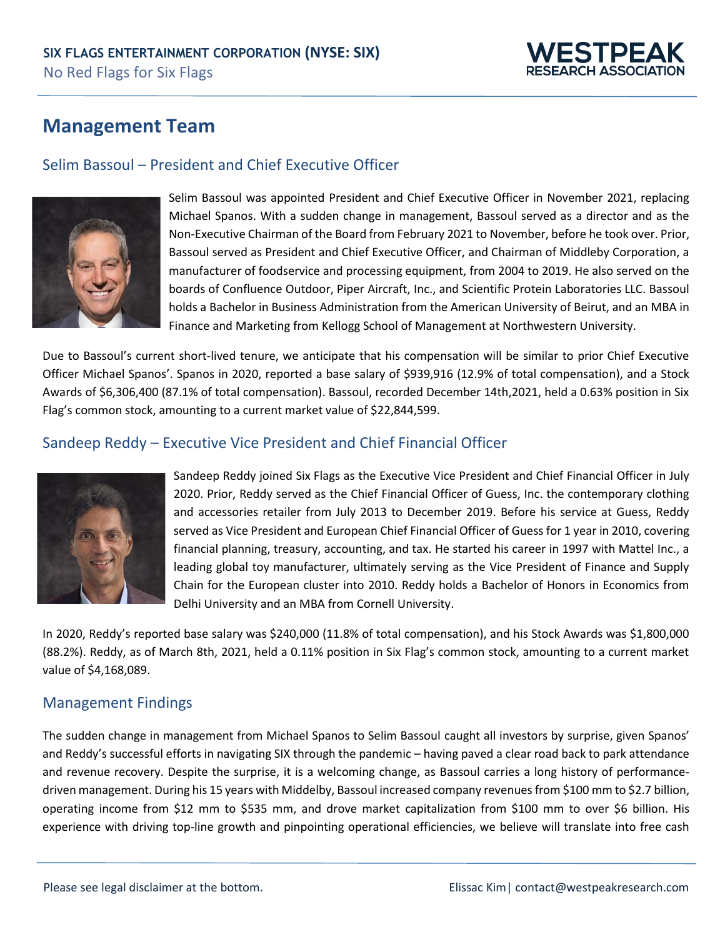

# **Management Team**

### Selim Bassoul – President and Chief Executive Officer



Selim Bassoul was appointed President and Chief Executive Officer in November 2021, replacing Michael Spanos. With a sudden change in management, Bassoul served as a director and as the Non-Executive Chairman of the Board from February 2021 to November, before he took over. Prior, Bassoul served as President and Chief Executive Officer, and Chairman of Middleby Corporation, a manufacturer of foodservice and processing equipment, from 2004 to 2019. He also served on the boards of Confluence Outdoor, Piper Aircraft, Inc., and Scientific Protein Laboratories LLC. Bassoul holds a Bachelor in Business Administration from the American University of Beirut, and an MBA in Finance and Marketing from Kellogg School of Management at Northwestern University.

Due to Bassoul's current short-lived tenure, we anticipate that his compensation will be similar to prior Chief Executive Officer Michael Spanos'. Spanos in 2020, reported a base salary of \$939,916 (12.9% of total compensation), and a Stock Awards of \$6,306,400 (87.1% of total compensation). Bassoul, recorded December 14th,2021, held a 0.63% position in Six Flag's common stock, amounting to a current market value of \$22,844,599.

### Sandeep Reddy – Executive Vice President and Chief Financial Officer



Sandeep Reddy joined Six Flags as the Executive Vice President and Chief Financial Officer in July 2020. Prior, Reddy served as the Chief Financial Officer of Guess, Inc. the contemporary clothing and accessories retailer from July 2013 to December 2019. Before his service at Guess, Reddy served as Vice President and European Chief Financial Officer of Guess for 1 year in 2010, covering financial planning, treasury, accounting, and tax. He started his career in 1997 with Mattel Inc., a leading global toy manufacturer, ultimately serving as the Vice President of Finance and Supply Chain for the European cluster into 2010. Reddy holds a Bachelor of Honors in Economics from Delhi University and an MBA from Cornell University.

In 2020, Reddy's reported base salary was \$240,000 (11.8% of total compensation), and his Stock Awards was \$1,800,000 (88.2%). Reddy, as of March 8th, 2021, held a 0.11% position in Six Flag's common stock, amounting to a current market value of \$4,168,089.

#### Management Findings

The sudden change in management from Michael Spanos to Selim Bassoul caught all investors by surprise, given Spanos' and Reddy's successful efforts in navigating SIX through the pandemic – having paved a clear road back to park attendance and revenue recovery. Despite the surprise, it is a welcoming change, as Bassoul carries a long history of performancedriven management. During his 15 years with Middelby, Bassoul increased company revenues from \$100 mm to \$2.7 billion, operating income from \$12 mm to \$535 mm, and drove market capitalization from \$100 mm to over \$6 billion. His experience with driving top-line growth and pinpointing operational efficiencies, we believe will translate into free cash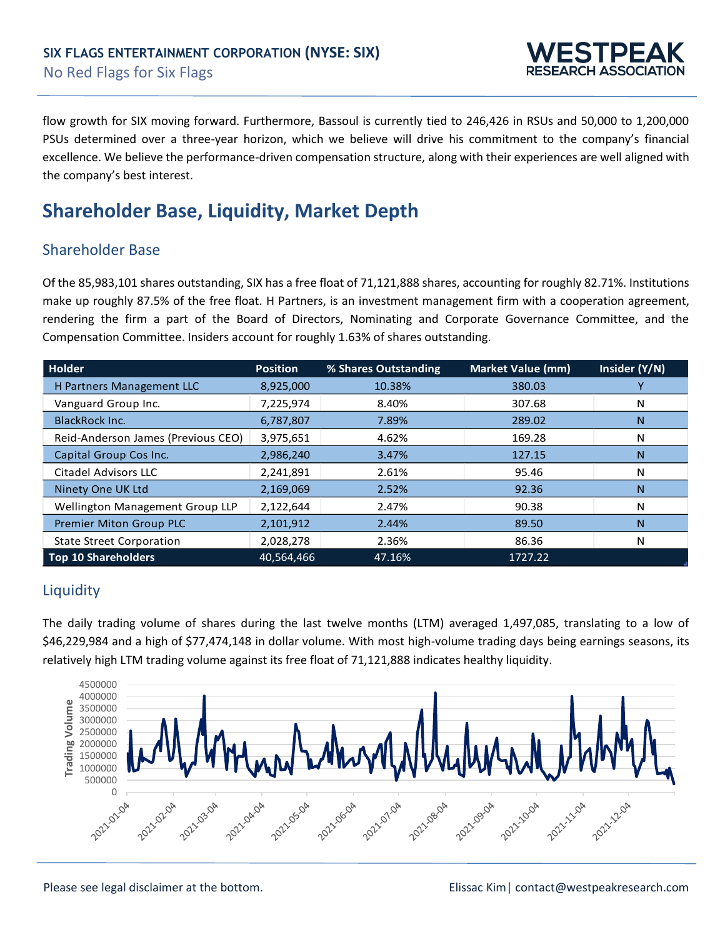

flow growth for SIX moving forward. Furthermore, Bassoul is currently tied to 246,426 in RSUs and 50,000 to 1,200,000 PSUs determined over a three-year horizon, which we believe will drive his commitment to the company's financial excellence. We believe the performance-driven compensation structure, along with their experiences are well aligned with the company's best interest.

# **Shareholder Base, Liquidity, Market Depth**

### Shareholder Base

Of the 85,983,101 shares outstanding, SIX has a free float of 71,121,888 shares, accounting for roughly 82.71%. Institutions make up roughly 87.5% of the free float. H Partners, is an investment management firm with a cooperation agreement, rendering the firm a part of the Board of Directors, Nominating and Corporate Governance Committee, and the Compensation Committee. Insiders account for roughly 1.63% of shares outstanding.

| Holder                             | <b>Position</b> | % Shares Outstanding | <b>Market Value (mm)</b> | Insider (Y/N) |
|------------------------------------|-----------------|----------------------|--------------------------|---------------|
| <b>H Partners Management LLC</b>   | 8,925,000       | 10.38%               | 380.03                   |               |
| Vanguard Group Inc.                | 7,225,974       | 8.40%                | 307.68                   | N             |
| <b>BlackRock Inc.</b>              | 6,787,807       | 7.89%                | 289.02                   | N             |
| Reid-Anderson James (Previous CEO) | 3,975,651       | 4.62%                | 169.28                   | N             |
| Capital Group Cos Inc.             | 2,986,240       | 3.47%                | 127.15                   | N             |
| <b>Citadel Advisors LLC</b>        | 2,241,891       | 2.61%                | 95.46                    | N             |
| Ninety One UK Ltd                  | 2,169,069       | 2.52%                | 92.36                    | N             |
| Wellington Management Group LLP    | 2,122,644       | 2.47%                | 90.38                    | N             |
| Premier Miton Group PLC            | 2,101,912       | 2.44%                | 89.50                    | N             |
| <b>State Street Corporation</b>    | 2,028,278       | 2.36%                | 86.36                    | N             |
| <b>Top 10 Shareholders</b>         | 40,564,466      | 47.16%               | 1727.22                  |               |

# **Liquidity**

The daily trading volume of shares during the last twelve months (LTM) averaged 1,497,085, translating to a low of \$46,229,984 and a high of \$77,474,148 in dollar volume. With most high-volume trading days being earnings seasons, its relatively high LTM trading volume against its free float of 71,121,888 indicates healthy liquidity.

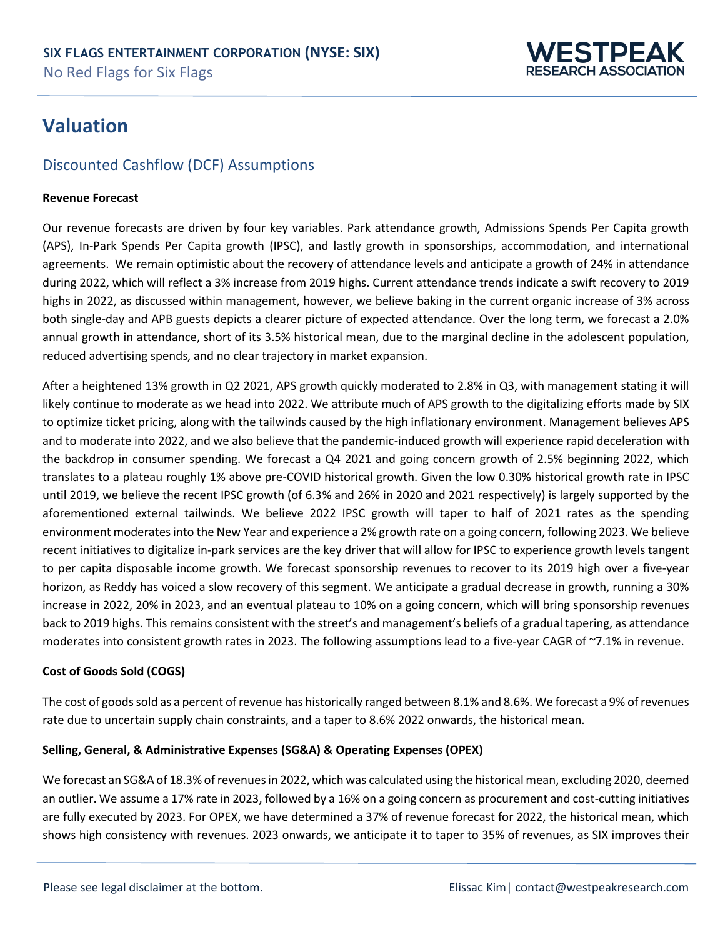

# **Valuation**

# Discounted Cashflow (DCF) Assumptions

#### **Revenue Forecast**

Our revenue forecasts are driven by four key variables. Park attendance growth, Admissions Spends Per Capita growth (APS), In-Park Spends Per Capita growth (IPSC), and lastly growth in sponsorships, accommodation, and international agreements. We remain optimistic about the recovery of attendance levels and anticipate a growth of 24% in attendance during 2022, which will reflect a 3% increase from 2019 highs. Current attendance trends indicate a swift recovery to 2019 highs in 2022, as discussed within management, however, we believe baking in the current organic increase of 3% across both single-day and APB guests depicts a clearer picture of expected attendance. Over the long term, we forecast a 2.0% annual growth in attendance, short of its 3.5% historical mean, due to the marginal decline in the adolescent population, reduced advertising spends, and no clear trajectory in market expansion.

After a heightened 13% growth in Q2 2021, APS growth quickly moderated to 2.8% in Q3, with management stating it will likely continue to moderate as we head into 2022. We attribute much of APS growth to the digitalizing efforts made by SIX to optimize ticket pricing, along with the tailwinds caused by the high inflationary environment. Management believes APS and to moderate into 2022, and we also believe that the pandemic-induced growth will experience rapid deceleration with the backdrop in consumer spending. We forecast a Q4 2021 and going concern growth of 2.5% beginning 2022, which translates to a plateau roughly 1% above pre-COVID historical growth. Given the low 0.30% historical growth rate in IPSC until 2019, we believe the recent IPSC growth (of 6.3% and 26% in 2020 and 2021 respectively) is largely supported by the aforementioned external tailwinds. We believe 2022 IPSC growth will taper to half of 2021 rates as the spending environment moderates into the New Year and experience a 2% growth rate on a going concern, following 2023. We believe recent initiatives to digitalize in-park services are the key driver that will allow for IPSC to experience growth levels tangent to per capita disposable income growth. We forecast sponsorship revenues to recover to its 2019 high over a five-year horizon, as Reddy has voiced a slow recovery of this segment. We anticipate a gradual decrease in growth, running a 30% increase in 2022, 20% in 2023, and an eventual plateau to 10% on a going concern, which will bring sponsorship revenues back to 2019 highs. This remains consistent with the street's and management's beliefs of a gradual tapering, as attendance moderates into consistent growth rates in 2023. The following assumptions lead to a five-year CAGR of ~7.1% in revenue.

#### **Cost of Goods Sold (COGS)**

The cost of goods sold as a percent of revenue has historically ranged between 8.1% and 8.6%. We forecast a 9% of revenues rate due to uncertain supply chain constraints, and a taper to 8.6% 2022 onwards, the historical mean.

#### **Selling, General, & Administrative Expenses (SG&A) & Operating Expenses (OPEX)**

We forecast an SG&A of 18.3% of revenues in 2022, which was calculated using the historical mean, excluding 2020, deemed an outlier. We assume a 17% rate in 2023, followed by a 16% on a going concern as procurement and cost-cutting initiatives are fully executed by 2023. For OPEX, we have determined a 37% of revenue forecast for 2022, the historical mean, which shows high consistency with revenues. 2023 onwards, we anticipate it to taper to 35% of revenues, as SIX improves their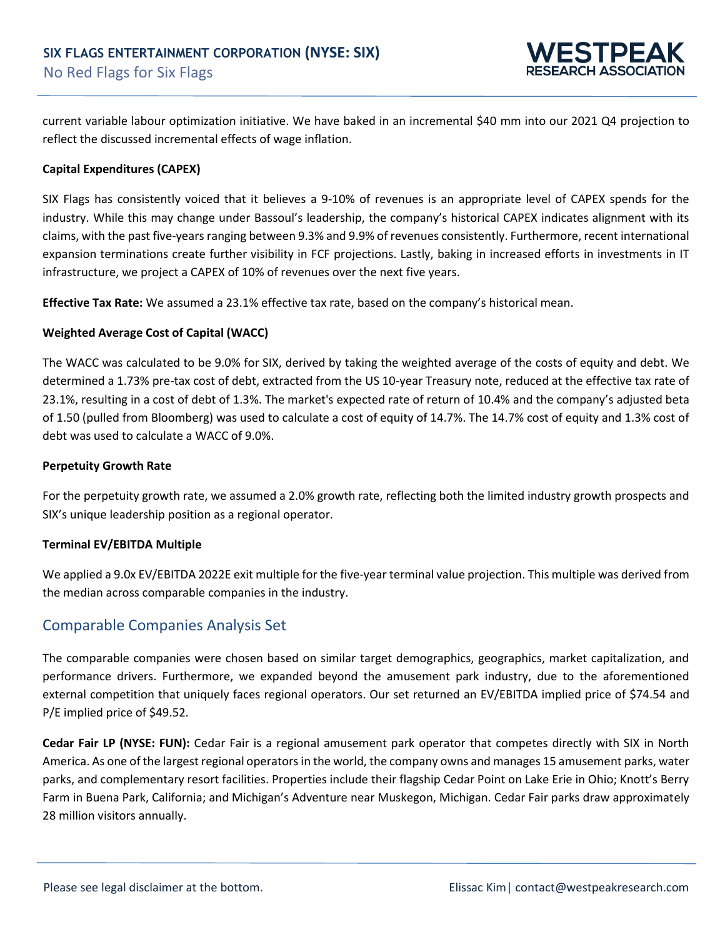

current variable labour optimization initiative. We have baked in an incremental \$40 mm into our 2021 Q4 projection to reflect the discussed incremental effects of wage inflation.

#### **Capital Expenditures (CAPEX)**

SIX Flags has consistently voiced that it believes a 9-10% of revenues is an appropriate level of CAPEX spends for the industry. While this may change under Bassoul's leadership, the company's historical CAPEX indicates alignment with its claims, with the past five-years ranging between 9.3% and 9.9% of revenues consistently. Furthermore, recent international expansion terminations create further visibility in FCF projections. Lastly, baking in increased efforts in investments in IT infrastructure, we project a CAPEX of 10% of revenues over the next five years.

**Effective Tax Rate:** We assumed a 23.1% effective tax rate, based on the company's historical mean.

#### **Weighted Average Cost of Capital (WACC)**

The WACC was calculated to be 9.0% for SIX, derived by taking the weighted average of the costs of equity and debt. We determined a 1.73% pre-tax cost of debt, extracted from the US 10-year Treasury note, reduced at the effective tax rate of 23.1%, resulting in a cost of debt of 1.3%. The market's expected rate of return of 10.4% and the company's adjusted beta of 1.50 (pulled from Bloomberg) was used to calculate a cost of equity of 14.7%. The 14.7% cost of equity and 1.3% cost of debt was used to calculate a WACC of 9.0%.

#### **Perpetuity Growth Rate**

For the perpetuity growth rate, we assumed a 2.0% growth rate, reflecting both the limited industry growth prospects and SIX's unique leadership position as a regional operator.

#### **Terminal EV/EBITDA Multiple**

We applied a 9.0x EV/EBITDA 2022E exit multiple for the five-year terminal value projection. This multiple was derived from the median across comparable companies in the industry.

### Comparable Companies Analysis Set

The comparable companies were chosen based on similar target demographics, geographics, market capitalization, and performance drivers. Furthermore, we expanded beyond the amusement park industry, due to the aforementioned external competition that uniquely faces regional operators. Our set returned an EV/EBITDA implied price of \$74.54 and P/E implied price of \$49.52.

**Cedar Fair LP (NYSE: FUN):** Cedar Fair is a regional amusement park operator that competes directly with SIX in North America. As one of the largest regional operators in the world, the company owns and manages 15 amusement parks, water parks, and complementary resort facilities. Properties include their flagship Cedar Point on Lake Erie in Ohio; Knott's Berry Farm in Buena Park, California; and Michigan's Adventure near Muskegon, Michigan. Cedar Fair parks draw approximately 28 million visitors annually.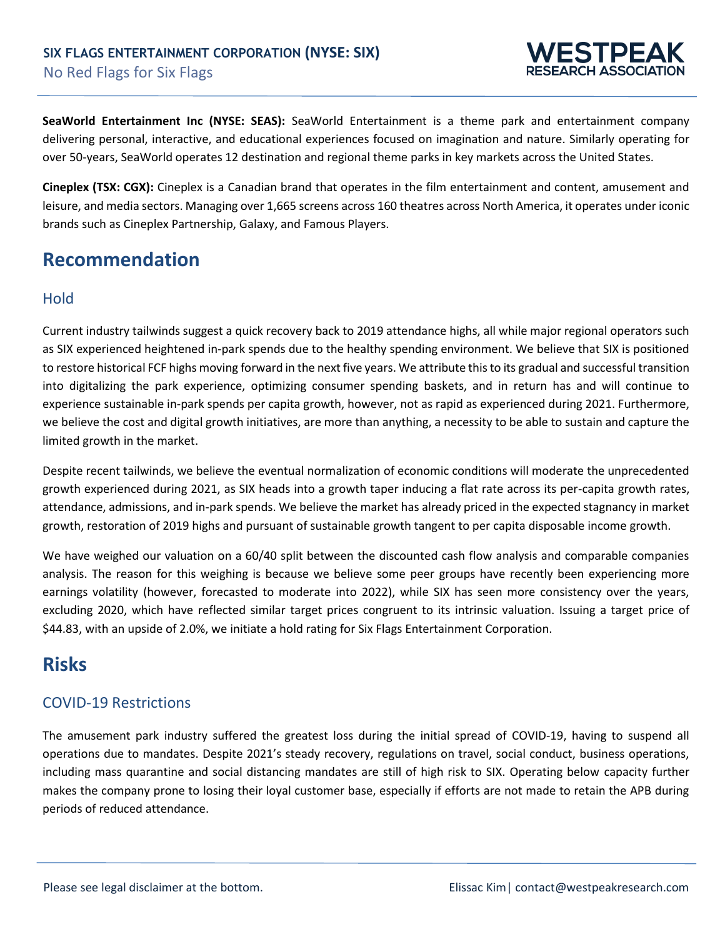

**SeaWorld Entertainment Inc (NYSE: SEAS):** SeaWorld Entertainment is a theme park and entertainment company delivering personal, interactive, and educational experiences focused on imagination and nature. Similarly operating for over 50-years, SeaWorld operates 12 destination and regional theme parks in key markets across the United States.

**Cineplex (TSX: CGX):** Cineplex is a Canadian brand that operates in the film entertainment and content, amusement and leisure, and media sectors. Managing over 1,665 screens across 160 theatres across North America, it operates under iconic brands such as Cineplex Partnership, Galaxy, and Famous Players.

# **Recommendation**

### Hold

Current industry tailwinds suggest a quick recovery back to 2019 attendance highs, all while major regional operators such as SIX experienced heightened in-park spends due to the healthy spending environment. We believe that SIX is positioned to restore historical FCF highs moving forward in the next five years. We attribute this to its gradual and successful transition into digitalizing the park experience, optimizing consumer spending baskets, and in return has and will continue to experience sustainable in-park spends per capita growth, however, not as rapid as experienced during 2021. Furthermore, we believe the cost and digital growth initiatives, are more than anything, a necessity to be able to sustain and capture the limited growth in the market.

Despite recent tailwinds, we believe the eventual normalization of economic conditions will moderate the unprecedented growth experienced during 2021, as SIX heads into a growth taper inducing a flat rate across its per-capita growth rates, attendance, admissions, and in-park spends. We believe the market has already priced in the expected stagnancy in market growth, restoration of 2019 highs and pursuant of sustainable growth tangent to per capita disposable income growth.

We have weighed our valuation on a 60/40 split between the discounted cash flow analysis and comparable companies analysis. The reason for this weighing is because we believe some peer groups have recently been experiencing more earnings volatility (however, forecasted to moderate into 2022), while SIX has seen more consistency over the years, excluding 2020, which have reflected similar target prices congruent to its intrinsic valuation. Issuing a target price of \$44.83, with an upside of 2.0%, we initiate a hold rating for Six Flags Entertainment Corporation.

# **Risks**

# COVID-19 Restrictions

The amusement park industry suffered the greatest loss during the initial spread of COVID-19, having to suspend all operations due to mandates. Despite 2021's steady recovery, regulations on travel, social conduct, business operations, including mass quarantine and social distancing mandates are still of high risk to SIX. Operating below capacity further makes the company prone to losing their loyal customer base, especially if efforts are not made to retain the APB during periods of reduced attendance.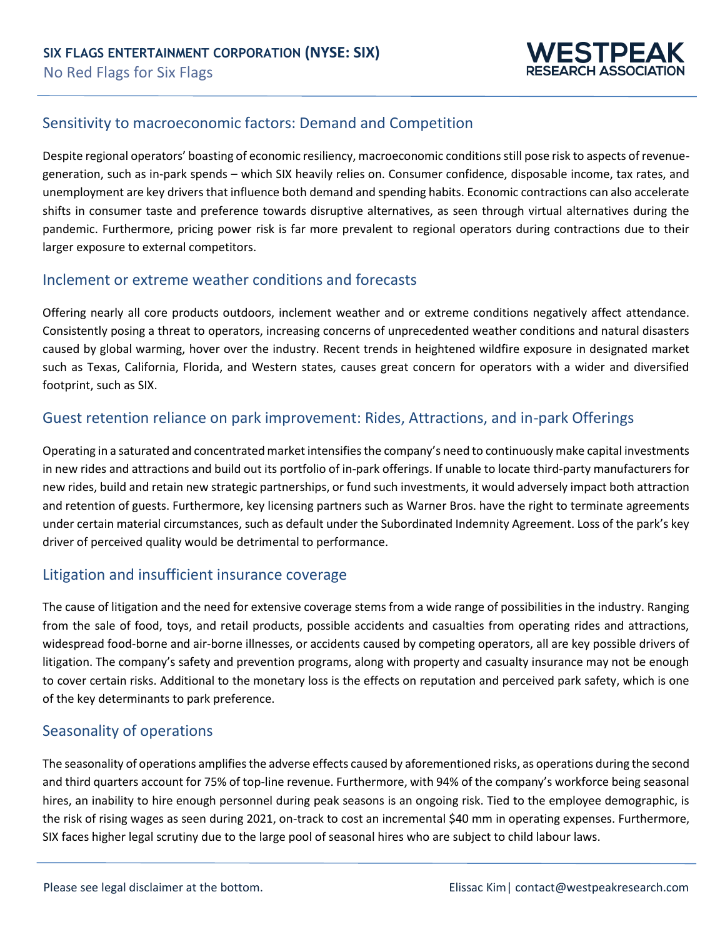

#### Sensitivity to macroeconomic factors: Demand and Competition

Despite regional operators' boasting of economic resiliency, macroeconomic conditions still pose risk to aspects of revenuegeneration, such as in-park spends – which SIX heavily relies on. Consumer confidence, disposable income, tax rates, and unemployment are key drivers that influence both demand and spending habits. Economic contractions can also accelerate shifts in consumer taste and preference towards disruptive alternatives, as seen through virtual alternatives during the pandemic. Furthermore, pricing power risk is far more prevalent to regional operators during contractions due to their larger exposure to external competitors.

### Inclement or extreme weather conditions and forecasts

Offering nearly all core products outdoors, inclement weather and or extreme conditions negatively affect attendance. Consistently posing a threat to operators, increasing concerns of unprecedented weather conditions and natural disasters caused by global warming, hover over the industry. Recent trends in heightened wildfire exposure in designated market such as Texas, California, Florida, and Western states, causes great concern for operators with a wider and diversified footprint, such as SIX.

#### Guest retention reliance on park improvement: Rides, Attractions, and in-park Offerings

Operating in a saturated and concentrated market intensifies the company's need to continuously make capital investments in new rides and attractions and build out its portfolio of in-park offerings. If unable to locate third-party manufacturers for new rides, build and retain new strategic partnerships, or fund such investments, it would adversely impact both attraction and retention of guests. Furthermore, key licensing partners such as Warner Bros. have the right to terminate agreements under certain material circumstances, such as default under the Subordinated Indemnity Agreement. Loss of the park's key driver of perceived quality would be detrimental to performance.

#### Litigation and insufficient insurance coverage

The cause of litigation and the need for extensive coverage stems from a wide range of possibilities in the industry. Ranging from the sale of food, toys, and retail products, possible accidents and casualties from operating rides and attractions, widespread food-borne and air-borne illnesses, or accidents caused by competing operators, all are key possible drivers of litigation. The company's safety and prevention programs, along with property and casualty insurance may not be enough to cover certain risks. Additional to the monetary loss is the effects on reputation and perceived park safety, which is one of the key determinants to park preference.

#### Seasonality of operations

The seasonality of operations amplifies the adverse effects caused by aforementioned risks, as operations during the second and third quarters account for 75% of top-line revenue. Furthermore, with 94% of the company's workforce being seasonal hires, an inability to hire enough personnel during peak seasons is an ongoing risk. Tied to the employee demographic, is the risk of rising wages as seen during 2021, on-track to cost an incremental \$40 mm in operating expenses. Furthermore, SIX faces higher legal scrutiny due to the large pool of seasonal hires who are subject to child labour laws.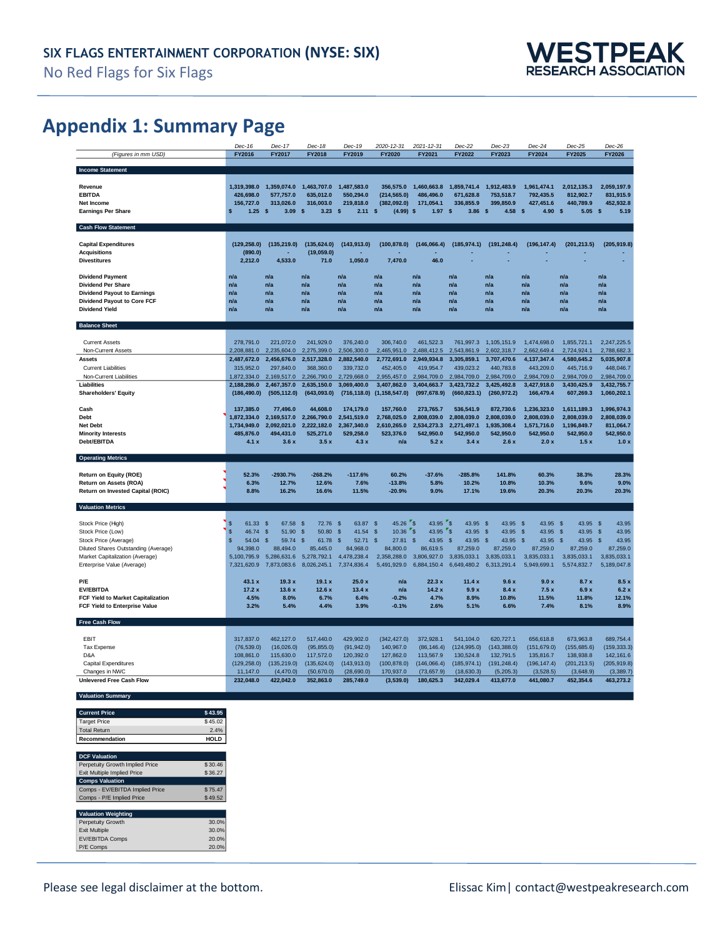# **Appendix 1: Summary Page**

|                                                               | Dec-16                      | Dec-17                     | Dec-18                     | Dec-19                     | 2020-12-31                  | 2021-12-31                 | Dec-22                     | $Dec-23$                          | $Dec-24$                    | $Dec-25$                   | $Dec-26$                   |
|---------------------------------------------------------------|-----------------------------|----------------------------|----------------------------|----------------------------|-----------------------------|----------------------------|----------------------------|-----------------------------------|-----------------------------|----------------------------|----------------------------|
| (Figures in mm USD)                                           | FY2016                      | FY2017                     | FY2018                     | FY2019                     | FY2020                      | FY2021                     | FY2022                     | FY2023                            | FY2024                      | FY2025                     | FY2026                     |
| <b>Income Statement</b>                                       |                             |                            |                            |                            |                             |                            |                            |                                   |                             |                            |                            |
| Revenue                                                       | 1.319.398.0                 | 1,359,074.0                | 1.463.707.0                | 1,487,583.0                | 356.575.0                   | 1.460.663.8                | 1.859.741.4                | 1.912.483.9                       | 1.961.474.1                 | 2.012.135.3                | 2,059,197.9                |
| <b>EBITDA</b>                                                 | 426,698.0                   | 577,757.0                  | 635,012.0                  | 550,294.0                  | (214, 565.0)                | 486,496.0                  | 671,628.8                  | 753,518.7                         | 792,435.5                   | 812,902.7                  | 831,915.9                  |
| Net Income                                                    | 156.727.0                   | 313,026.0                  | 316.003.0                  | 219.818.0                  | (382, 092.0)                | 171.054.1                  | 336.855.9                  | 399.850.9                         | 427.451.6                   | 440.789.9                  | 452.932.8                  |
| <b>Earnings Per Share</b>                                     | 1.25S<br>s                  | 3.09                       | s<br>3.23                  | $\boldsymbol{s}$<br>2.11   | $\mathbf{s}$<br>(4.99)      | $\mathbf{s}$<br>1.97       | 3.86<br>S                  | 4.58 <sup>5</sup><br>$\mathbf{s}$ | 4.90                        | $\mathbf{s}$<br>5.05       | - \$<br>5.19               |
| <b>Cash Flow Statement</b>                                    |                             |                            |                            |                            |                             |                            |                            |                                   |                             |                            |                            |
| <b>Capital Expenditures</b>                                   | (129, 258.0)                | (135.219.0)                | (135.624.0)                | (143, 913.0)               | (100, 878.0)                | (146,066.4)                | (185, 974.1)               | (191, 248.4)                      | (196, 147.4)                | (201, 213.5)               | (205, 919.8)               |
| <b>Acquisitions</b>                                           | (890.0)                     |                            | (19,059.0)                 |                            |                             |                            |                            |                                   |                             |                            |                            |
| <b>Divestitures</b>                                           | 2,212.0                     | 4,533.0                    | 71.0                       | 1,050.0                    | 7.470.0                     | 46.0                       |                            |                                   |                             |                            |                            |
| <b>Dividend Payment</b>                                       | n/a                         | n/a                        | n/a                        | n/a                        | n/a                         | n/a                        | n/a                        | n/a                               | n/a                         | n/a                        | n/a                        |
| <b>Dividend Per Share</b>                                     | n/a                         | n/a                        | n/a                        | n/a                        | n/a                         | n/a                        | n/a                        | n/a                               | n/a                         | n/a                        | n/a                        |
| <b>Dividend Payout to Earnings</b>                            | n/a                         | n/a                        | n/a                        | n/a                        | n/a                         | n/a                        | n/a                        | n/a                               | n/a                         | n/a                        | n/a                        |
| Dividend Payout to Core FCF                                   | n/a                         | n/a                        | n/a                        | n/a                        | n/a                         | n/a                        | n/a                        | n/a                               | n/a                         | n/a                        | n/a                        |
| <b>Dividend Yield</b>                                         | nla                         | n/a                        | n/a                        | n/a                        | n/a                         | n/a                        | n/a                        | n/a                               | n/a                         | n/a                        | n/a                        |
| <b>Balance Sheet</b>                                          |                             |                            |                            |                            |                             |                            |                            |                                   |                             |                            |                            |
| <b>Current Assets</b>                                         | 278,791.0                   | 221,072.0                  | 241,929.0                  | 376,240.0                  | 306.740.0                   | 461,522.3                  | 761,997.3                  | 1,105,151.9                       | 1,474,698.0                 | 1,855,721.1                | 2.247.225.5                |
| Non-Current Assets                                            | 2,208,881.0                 | 2,235,604.0                | 2,275,399.0                | 2,506,300.0                | 2,465,951.0                 | 2,488,412.5                | 2,543,861.9                | 2,602,318.7                       | 2,662,649.4                 | 2,724,924.1                | 2,788,682.3                |
| <b>Assets</b>                                                 | 2,487,672.0                 | 2,456,676.0                | 2,517,328.0                | 2,882,540.0                | 2,772,691.0                 | 2,949,934.8                | 3,305,859.1                | 3,707,470.6                       | 4,137,347.4                 | 4,580,645.2                | 5,035,907.8                |
| <b>Current Liabilities</b>                                    | 315,952.0                   | 297,840.0                  | 368,360.0                  | 339,732.0                  | 452.405.0                   | 419.954.7                  | 439.023.2                  | 440.783.8                         | 443.209.0                   | 445,716.9                  | 448.046.7                  |
| Non-Current Liabilities                                       | 1,872,334.0                 | 2,169,517.0                | 2,266,790.0                | 2,729,668.0                | 2,955,457.0                 | 2,984,709.0                | 2,984,709.0                | 2,984,709.0                       | 2,984,709.0                 | 2,984,709.0                | 2,984,709.0                |
| Liabilities                                                   | 2.188.286.0                 | 2,467,357.0                | 2,635,150.0                | 3,069,400.0                | 3,407,862.0                 | 3,404,663.7                | 3,423,732.2                | 3,425,492.8                       | 3,427,918.0                 | 3,430,425.9                | 3,432,755.7                |
| <b>Shareholders' Equity</b>                                   | (186, 490.0)                | (505, 112.0)               | (643,093.0)                | (716, 118.0)               | (1, 158, 547.0)             | (997, 678.9)               | (660, 823.1)               | (260, 972.2)                      | 166,479.4                   | 607,269.3                  | 1,060,202.1                |
| Cash                                                          | 137,385.0                   | 77,496.0                   | 44,608.0                   | 174,179.0                  | 157,760.0                   | 273,765.7                  | 536,541.9                  | 872,730.6                         | 1,236,323.0                 | 1,611,189.3                | 1,996,974.3                |
| Debt                                                          | 1,872,334.0                 | 2,169,517.0                | 2,266,790.0                | 2,541,519.0                | 2,768,025.0                 | 2,808,039.0                | 2,808,039.0                | 2,808,039.0                       | 2,808,039.0                 | 2,808,039.0                | 2,808,039.0                |
| Net Debt                                                      | 1,734,949.0                 | 2,092,021.0                | 2,222,182.0                | 2,367,340.0                | 2,610,265.0                 | 2,534,273.3                | 2,271,497.1                | 1,935,308.4                       | 1,571,716.0                 | 1,196,849.7                | 811,064.7                  |
| <b>Minority Interests</b>                                     | 485,876.0                   | 494,431.0                  | 525,271.0                  | 529,258.0                  | 523.376.0                   | 542,950.0                  | 542,950.0                  | 542,950.0                         | 542,950.0                   | 542,950.0                  | 542,950.0                  |
| Debt/EBITDA                                                   | 4.1x                        | 3.6x                       | 3.5x                       | 4.3x                       | n/a                         | 5.2x                       | 3.4x                       | 2.6x                              | 2.0x                        | 1.5x                       | 1.0x                       |
|                                                               |                             |                            |                            |                            |                             |                            |                            |                                   |                             |                            |                            |
| <b>Operating Metrics</b>                                      |                             |                            |                            |                            |                             |                            |                            |                                   |                             |                            |                            |
|                                                               | 52.3%                       |                            | $-268.2%$                  |                            | 60.2%                       | $-37.6%$                   | $-285.8%$                  | 141.8%                            | 60.3%                       | 38.3%                      |                            |
| Return on Equity (ROE)<br>Return on Assets (ROA)              | 6.3%                        | $-2930.7%$<br>12.7%        | 12.6%                      | $-117.6%$<br>7.6%          | $-13.8%$                    | 5.8%                       | 10.2%                      | 10.8%                             | 10.3%                       | 9.6%                       | 28.3%<br>9.0%              |
| Return on Invested Capital (ROIC)                             | 8.8%                        | 16.2%                      | 16.6%                      | 11.5%                      | $-20.9%$                    | 9.0%                       | 17.1%                      | 19.6%                             | 20.3%                       | 20.3%                      | 20.3%                      |
|                                                               |                             |                            |                            |                            |                             |                            |                            |                                   |                             |                            |                            |
| <b>Valuation Metrics</b>                                      |                             |                            |                            |                            |                             |                            |                            |                                   |                             |                            |                            |
| Stock Price (High)                                            | \$<br>61.33                 | <sub>S</sub><br>67.58      | <sub>S</sub><br>72.76      | 63.87<br>-S                | $45.26$ \$<br>$\mathbf{s}$  | 43.95                      | $r_{\rm s}$<br>43.95       | 43.95<br>- \$                     | 43.95<br>- \$               | 43.95<br><sub>S</sub>      | 43.95<br>- \$              |
| Stock Price (Low)                                             | \$<br>46.74                 | $\mathsf{\$}$<br>51.90     | $\mathsf{\$}$<br>50.80     | \$<br>41.54                | $\mathbf{\hat{s}}$<br>10.36 | "s<br>43.95                | ″s<br>43.95                | \$<br>43.95                       | $\mathbf{s}$<br>43.95       | $\mathbf{s}$<br>43.95      | $\mathbf{s}$<br>43.95      |
| Stock Price (Average)                                         | 54.04<br>$\hat{\mathbf{s}}$ | 59.74<br>$\mathbf{s}$      | 61.78<br>$\mathbf{s}$      | $\sqrt{3}$<br>52.71        | 27.81<br>$\hat{\mathbf{x}}$ | 43.95<br>$\mathbf{s}$      | 43.95<br>$\mathbf{s}$      | $\sqrt{3}$<br>43.95               | 43.95<br>$\mathbf{\hat{s}}$ | 43.95<br>$\mathbf{s}$      | 43.95<br>$\mathbf{s}$      |
| Diluted Shares Outstanding (Average)                          | 94.398.0                    | 88.494.0                   | 85,445.0                   | 84.968.0                   | 84.800.0                    | 86,619.5                   | 87.259.0                   | 87,259.0                          | 87,259.0                    | 87,259.0                   | 87.259.0                   |
| Market Capitalization (Average)<br>Enterprise Value (Average) | 5,100,795.9<br>7,321,620.9  | 5,286,631.6<br>7,873,083.6 | 5,278,792.1<br>8,026,245.1 | 4,478,238.4<br>7,374,836.4 | 2,358,288.0<br>5,491,929.0  | 3,806,927.0<br>6,884,150.4 | 3,835,033.1<br>6,649,480.2 | 3,835,033.1<br>6,313,291.4        | 3.835.033.1<br>5,949,699.1  | 3,835,033.1<br>5,574,832.7 | 3,835,033.1<br>5.189.047.8 |
|                                                               |                             |                            |                            |                            |                             |                            |                            |                                   |                             |                            |                            |
| P/E                                                           | 43.1 x                      | 19.3x                      | 19.1 x                     | 25.0 x                     | n/a                         | 22.3x                      | 11.4x                      | 9.6x                              | 9.0x                        | 8.7x                       | 8.5x                       |
| <b>EV/EBITDA</b>                                              | 172x                        | 136x                       | 126x                       | 13.4x                      | n/a                         | 14.2x                      | 99 Y                       | 8.4x                              | 7.5x                        | 6.9x                       | 6.2x                       |
| FCF Yield to Market Capitalization                            | 4.5%<br>3.2%                | 8.0%<br>5.4%               | 6.7%<br>4.4%               | 6.4%<br>3.9%               | $-0.2%$<br>$-0.1%$          | 4.7%<br>2.6%               | 8.9%<br>5.1%               | 10.8%<br>6.6%                     | 11.5%<br>7.4%               | 11.8%<br>8.1%              | 12.1%<br>8.9%              |
| FCF Yield to Enterprise Value                                 |                             |                            |                            |                            |                             |                            |                            |                                   |                             |                            |                            |
| Free Cash Flow                                                |                             |                            |                            |                            |                             |                            |                            |                                   |                             |                            |                            |
| EBIT                                                          | 317,837.0                   | 462,127.0                  | 517,440.0                  | 429,902.0                  | (342, 427.0)                | 372,928.1                  | 541,104.0                  | 620,727.1                         | 656,618.8                   | 673,963.8                  | 689.754.4                  |
| Tax Expense                                                   | (76, 539.0)                 | (16,026.0)                 | (95, 855.0)                | (91, 942.0)                | 140,967.0                   | (86, 146.4)                | (124, 995.0)               | (143.388.0)                       | (151, 679.0)                | (155, 685.6)               | (159, 333.3)               |
| D&A                                                           | 108,861.0                   | 115,630.0                  | 117,572.0                  | 120,392.0                  | 127,862.0                   | 113,567.9                  | 130,524.8                  | 132,791.5                         | 135,816.7                   | 138,938.8                  | 142, 161.6                 |
| Capital Expenditures                                          | (129, 258.0)                | (135, 219.0)               | (135, 624.0)               | (143, 913.0)               | (100, 878.0)                | (146,066.4)                | (185, 974.1)               | (191, 248.4)                      | (196, 147.4)                | (201, 213.5)               | (205, 919.8)               |
| Changes in NWC                                                | 11,147.0                    | (4,470.0)                  | (50, 670.0)                | (28, 690.0)                | 170,937.0                   | (73, 657.9)                | (18, 630.3)                | (5, 205.3)                        | (3, 528.5)                  | (3,648.9)                  | (3,389.7)                  |
| <b>Unlevered Free Cash Flow</b>                               | 232,048.0                   | 422,042.0                  | 352,863.0                  | 285,749.0                  | (3,539.0)                   | 180,625.3                  | 342,029.4                  | 413,677.0                         | 441,080.7                   | 452,354.6                  | 463,273.2                  |
| <b>Valuation Summary</b>                                      |                             |                            |                            |                            |                             |                            |                            |                                   |                             |                            |                            |
| <b>Current Price</b><br>\$43.95                               |                             |                            |                            |                            |                             |                            |                            |                                   |                             |                            |                            |
| \$45.02<br><b>Target Price</b>                                |                             |                            |                            |                            |                             |                            |                            |                                   |                             |                            |                            |
| <b>Total Return</b><br>2.4%<br><b>HOLD</b><br>Recommendation  |                             |                            |                            |                            |                             |                            |                            |                                   |                             |                            |                            |

| <b>DCF Valuation</b>               |         |
|------------------------------------|---------|
| Perpetuity Growth Implied Price    | \$30.46 |
| <b>Exit Multiple Implied Price</b> | \$36.27 |
| <b>Comps Valuation</b>             |         |
| Comps - EV/EBITDA Implied Price    | \$75.47 |
| Comps - P/E Implied Price          | \$49.52 |
|                                    |         |
| <b>Valuation Weighting</b>         |         |
| Perpetuity Growth                  | 30.0%   |
| <b>Exit Multiple</b>               | 30.0%   |
| <b>EV/EBITDA Comps</b>             | 20.0%   |
| P/E Comps                          | 20.0%   |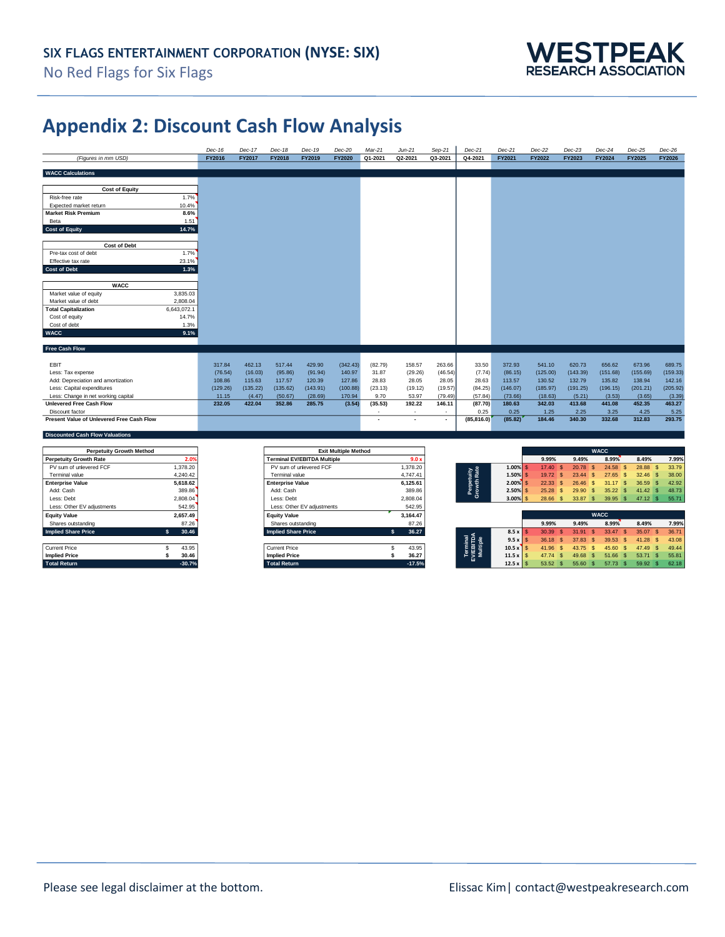

# **Appendix 2: Discount Cash Flow Analysis**

|                                            | Dec-16   | Dec-17   | Dec-18        | Dec-19   | Dec-20   | Mar-21  | $Jun-21$                 | $Sep-21$       | Dec-21      | Dec-21   | $Dec-22$ | $Dec-23$ | Dec-24   | $Dec-25$      | $Dec-26$ |
|--------------------------------------------|----------|----------|---------------|----------|----------|---------|--------------------------|----------------|-------------|----------|----------|----------|----------|---------------|----------|
| (Figures in mm USD)                        | FY2016   | FY2017   | <b>FY2018</b> | FY2019   | FY2020   | Q1-2021 | Q2-2021                  | Q3-2021        | Q4-2021     | FY2021   | FY2022   | FY2023   | FY2024   | <b>FY2025</b> | FY2026   |
|                                            |          |          |               |          |          |         |                          |                |             |          |          |          |          |               |          |
| <b>WACC Calculations</b>                   |          |          |               |          |          |         |                          |                |             |          |          |          |          |               |          |
|                                            |          |          |               |          |          |         |                          |                |             |          |          |          |          |               |          |
| <b>Cost of Equity</b>                      |          |          |               |          |          |         |                          |                |             |          |          |          |          |               |          |
| 1.7%<br>Risk-free rate                     |          |          |               |          |          |         |                          |                |             |          |          |          |          |               |          |
| Expected market return<br>10.4%            |          |          |               |          |          |         |                          |                |             |          |          |          |          |               |          |
| 8.6%<br><b>Market Risk Premium</b>         |          |          |               |          |          |         |                          |                |             |          |          |          |          |               |          |
| 1.51<br>Beta                               |          |          |               |          |          |         |                          |                |             |          |          |          |          |               |          |
| Cost of Equity<br>14.7%                    |          |          |               |          |          |         |                          |                |             |          |          |          |          |               |          |
|                                            |          |          |               |          |          |         |                          |                |             |          |          |          |          |               |          |
| Cost of Debt                               |          |          |               |          |          |         |                          |                |             |          |          |          |          |               |          |
| 1.7%<br>Pre-tax cost of debt               |          |          |               |          |          |         |                          |                |             |          |          |          |          |               |          |
| 23.1%<br>Effective tax rate                |          |          |               |          |          |         |                          |                |             |          |          |          |          |               |          |
| 1.3%<br><b>Cost of Debt</b>                |          |          |               |          |          |         |                          |                |             |          |          |          |          |               |          |
|                                            |          |          |               |          |          |         |                          |                |             |          |          |          |          |               |          |
| <b>WACC</b>                                |          |          |               |          |          |         |                          |                |             |          |          |          |          |               |          |
| Market value of equity<br>3,835.03         |          |          |               |          |          |         |                          |                |             |          |          |          |          |               |          |
| 2,808.04<br>Market value of debt           |          |          |               |          |          |         |                          |                |             |          |          |          |          |               |          |
| 6,643,072.1<br><b>Total Capitalization</b> |          |          |               |          |          |         |                          |                |             |          |          |          |          |               |          |
| Cost of equity<br>14.7%                    |          |          |               |          |          |         |                          |                |             |          |          |          |          |               |          |
| Cost of debt<br>1.3%                       |          |          |               |          |          |         |                          |                |             |          |          |          |          |               |          |
| <b>WACC</b><br>9.1%                        |          |          |               |          |          |         |                          |                |             |          |          |          |          |               |          |
|                                            |          |          |               |          |          |         |                          |                |             |          |          |          |          |               |          |
| <b>Free Cash Flow</b>                      |          |          |               |          |          |         |                          |                |             |          |          |          |          |               |          |
|                                            |          |          |               |          |          |         |                          |                |             |          |          |          |          |               |          |
| EBIT                                       | 317.84   | 462.13   | 517.44        | 429.90   | (342.43) | (82.79) | 158.57                   | 263.66         | 33.50       | 372.93   | 541.10   | 620.73   | 656.62   | 673.96        | 689.75   |
| Less: Tax expense                          | (76.54)  | (16.03)  | (95.86)       | (91.94)  | 140.97   | 31.87   | (29.26)                  | (46.54)        | (7.74)      | (86.15)  | (125.00) | (143.39) | (151.68) | (155.69)      | (159.33) |
| Add: Depreciation and amortization         | 108.86   | 115.63   | 117.57        | 120.39   | 127.86   | 28.83   | 28.05                    | 28.05          | 28.63       | 113.57   | 130.52   | 132.79   | 135.82   | 138.94        | 142.16   |
| Less: Capital expenditures                 | (129.26) | (135.22) | (135.62)      | (143.91) | (100.88) | (23.13) | (19.12)                  | (19.57)        | (84.25)     | (146.07) | (185.97) | (191.25) | (196.15) | (201.21)      | (205.92) |
| Less: Change in net working capital        | 11.15    | (4.47)   | (50.67)       | (28.69)  | 170.94   | 9.70    | 53.97                    | (79.49)        | (57.84)     | (73.66)  | (18.63)  | (5.21)   | (3.53)   | (3.65)        | (3.39)   |
| <b>Unlevered Free Cash Flow</b>            | 232.05   | 422.04   | 352.86        | 285.75   | (3.54)   | (35.53) | 192.22                   | 146.11         | (87.70)     | 180.63   | 342.03   | 413.68   | 441.08   | 452.35        | 463.27   |
| Discount factor                            |          |          |               |          |          | ٠       | $\overline{\phantom{a}}$ | $\sim$         | 0.25        | 0.25     | 1.25     | 2.25     | 3.25     | 4.25          | 5.25     |
| Present Value of Unlevered Free Cash Flow  |          |          |               |          |          | ٠       | $\overline{\phantom{a}}$ | $\blacksquare$ | (85, 816.0) | (85.82)  | 184.46   | 340.30   | 332.68   | 312.83        | 293.75   |
|                                            |          |          |               |          |          |         |                          |                |             |          |          |          |          |               |          |
| <b>Discounted Cash Flow Valuations</b>     |          |          |               |          |          |         |                          |                |             |          |          |          |          |               |          |

| <b>Perpetuity Growth Method</b> |          |                                    | <b>Exit Multiple Method</b> |                                   |                 |               |              | <b>WACC</b>           |           |       |
|---------------------------------|----------|------------------------------------|-----------------------------|-----------------------------------|-----------------|---------------|--------------|-----------------------|-----------|-------|
| <b>Perpetuity Growth Rate</b>   | 2.09     | <b>Terminal EV/EBITDA Multiple</b> | 9.0 <sub>2</sub>            |                                   |                 | 9.99%         | 9.49%        | 8.99%                 | 8.49%     | 7.99% |
| PV sum of unlevered FCF         | .378.20  | PV sum of unlevered FCF            | 1,378.20                    |                                   | $1.00\%$        | 17.40 S       | 20.78        | 24.58                 | 28.88     | 33.79 |
| Terminal value                  | 4.240.42 | Terminal value                     | 4,747.41                    |                                   | $1.50\%$ S      | 19.72 S       | 23.44<br>-93 | 27.65                 | 32.46     | 38.00 |
| <b>Enterprise Value</b>         | 5.618.62 | <b>Enterprise Value</b>            | 6,125.61                    |                                   | $2.00\%$ S      | $22.33$ \$    | 26.46        | 31.17                 | 36.59     | 42.92 |
| Add: Cash                       | 389.86   | Add: Cash                          | 389.86                      | Perpetuity<br>Growth Rate         | $2.50\%$ S      | $25.28$ \$    | 29.90        | 35.22                 | 41.42     | 48.73 |
| Less: Debt                      | 2,808.04 | Less: Debt                         | 2,808.04                    |                                   | $3.00\%$ \$     | 28.66 \$      | 33.87 \$     | 39.95<br>$\mathbf{s}$ | $47.12$ S | 55.71 |
| Less: Other EV adjustments      | 542.95   | Less: Other EV adjustments         | 542.95                      |                                   |                 |               |              |                       |           |       |
| <b>Equity Value</b>             | 2,657.49 | <b>Equity Value</b>                | 3,164.47                    |                                   |                 |               |              | <b>WACC</b>           |           |       |
| Shares outstanding              | 87.26    | Shares outstanding                 | 87.26                       |                                   |                 | 9.99%         | 9.49%        | 8.99%                 | 8.49%     | 7.99% |
| <b>Implied Share Price</b>      | 30.46    | <b>Implied Share Price</b>         | 36.27                       |                                   | 8.5x            | 30.39         | 31.91        | 33.47<br>$\mathbf{s}$ | 35.07     | 36.71 |
|                                 |          |                                    |                             |                                   | $9.5 \times$    | $36.18$ \$    | 37.83        | 39.53                 | 41.28     | 43.08 |
| <b>Current Price</b>            | 43.95    | <b>Current Price</b>               | 43.95                       | Terminal<br>EV/EBITDA<br>Multiple | 10.5x           | 41.96<br>- 56 | 43.75<br>-93 | 45.60                 | 47.49     | 49.44 |
| <b>Implied Price</b>            | 30.46    | <b>Implied Price</b>               | 36.27                       |                                   | $11.5 \times$ S | 47.74 \$      | 49.68<br>-55 | 51.66<br>- \$         | 53.71     | 55.81 |
| <b>Total Return</b>             | $-30.7%$ | <b>Total Return</b>                | $-17.5%$                    |                                   | $12.5 \times S$ | 53.52 \$      | 55.60 \$     | 57.73<br>- 56         | 59.92 S   | 62.18 |

| <b>Perpetuity Growth Method</b> |             | <b>Exit Multiple Method</b>        |            |
|---------------------------------|-------------|------------------------------------|------------|
| erpetuity Growth Rate           | 2.0%        | <b>Terminal EV/EBITDA Multiple</b> |            |
| PV sum of unlevered FCF         | 1.378.20    | PV sum of unlevered FCF            | 1.378.20   |
| Terminal value                  | 4.240.42    | Terminal value                     | 4,747.41   |
| <b>nterprise Value</b>          | 5.618.62    | <b>Enterprise Value</b>            | 6.125.61   |
| Add: Cash                       | 389.86      | Add: Cash                          | 389.86     |
| ess: Debt                       | 2.808.04    | Less: Debt                         | 2.808.04   |
| Less: Other EV adiustments      | 542.95      | Less: Other EV adiustments         | 542.95     |
| quity Value                     | 2.657.49    | <b>Equity Value</b>                | 3.164.47   |
| Shares outstanding              | 87.26       | Shares outstanding                 | 87.26      |
| <b>polied Share Price</b>       | 30.46<br>\$ | <b>Implied Share Price</b>         | s<br>36.27 |
|                                 |             |                                    |            |
| <b>Irrent Price</b>             | 43.95       | <b>Current Price</b>               |            |
| <b>nplied Price</b>             | 30.46       | <b>Implied Price</b>               |            |

| <b>Perpetuity Growth Method</b> |          | <b>Exit Multiple Method</b>        |          |           |          |       |       | <b>WACC</b> |       |       |
|---------------------------------|----------|------------------------------------|----------|-----------|----------|-------|-------|-------------|-------|-------|
| Perpetuity Growth Rate          | 2.09     | <b>Terminal EV/EBITDA Multiple</b> | 9.0x     |           |          | 9.99% | 9.49% | 8.99%       | 8.49% | 7.99% |
| PV sum of unlevered FCF         | 1.378.20 | PV sum of unlevered FCF            | .378.20  |           | $1.00\%$ | 17.40 | 20.78 | 24.58       | 28.88 | 33.79 |
| Terminal value                  | 4.240.42 | Terminal value                     | 4.747.41 | 音虛        | 1.50%l   | 19.72 | 23.44 | 27.65       | 32.46 | 38.00 |
| Enterprise Value                | 5.618.62 | <b>Enterprise Value</b>            | 6,125.61 | -<br>Pe E | $2.00\%$ | 22.33 | 26.46 | 31.17       | 36.59 | 42.92 |
| Add: Cash                       | 389.86   | Add: Cash                          | 389.86   |           | 2.50%    | 25.28 | 29.90 | 35.22       | 41.42 | 48.73 |
| Less: Debt                      | 2,808.04 | Less: Debt                         | 2,808.04 |           | 3.00%    | 28.66 | 33.87 | 39.95       | 47.12 | 55.71 |

| <b>Equity Value</b>        | 2.657.49 | <b>Equity Value</b>        | 3,164.47 |                                                  |       |       |       | <b>WACC</b> |       |       |
|----------------------------|----------|----------------------------|----------|--------------------------------------------------|-------|-------|-------|-------------|-------|-------|
| Shares outstanding         | 87.26    | Shares outstanding         | 87.26    |                                                  |       | 9.99% | 9.49% | 8.99%       | 8.49% | 7.99% |
| <b>Implied Share Price</b> | 30.46    | <b>Implied Share Price</b> | 36.27    | $8.5 \times$                                     |       | 30.39 | 3191  | 33.47       | 35.07 | 36.71 |
|                            |          |                            |          | Terminal<br>V/EBITDA<br>Multiple<br>$9.5 \times$ | 36.18 |       | 37.83 | 39.53       | 41.28 | 43.08 |
| Current Price              | 43.95    | <b>Current Price</b>       | 43.95    | $10.5 \times$                                    |       | 41.96 | 43.75 | 45.60       | 47.49 | 49.44 |
| <b>Implied Price</b>       | 30.46    | <b>Implied Price</b>       | 36.27    | $11.5 \times$                                    | 47.74 |       | 49.68 | 51.66       | 53.71 | 55.81 |
| <b>Total Return</b>        | $-30.7%$ | <b>Total Return</b>        | $-17.5%$ | $12.5 \times$ S                                  |       | 53.52 | 55.60 | 57.73       | 59.92 | 62.18 |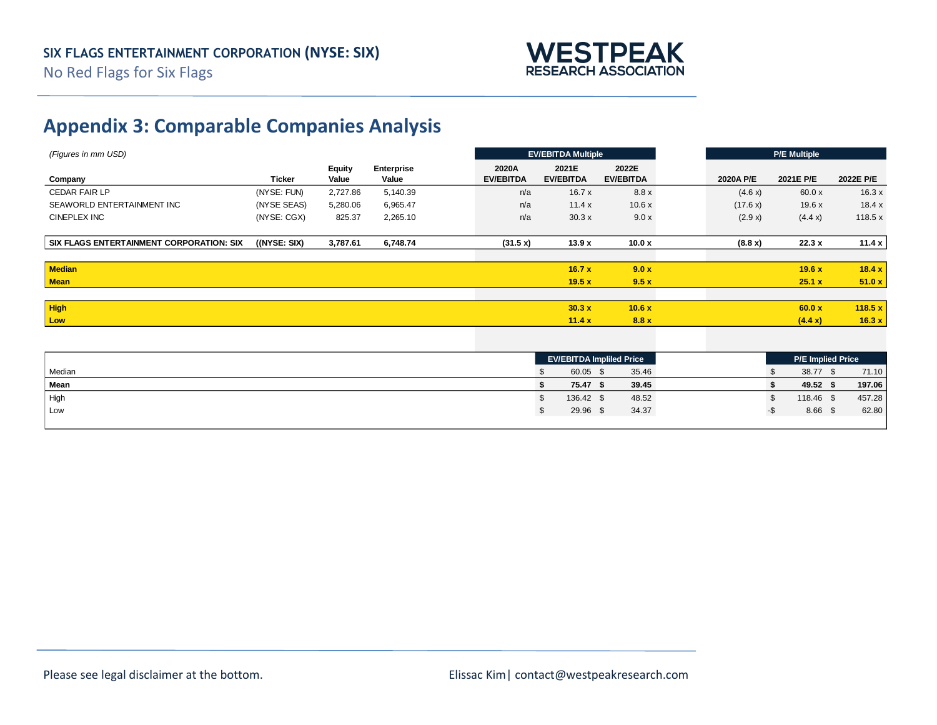

# **Appendix 3: Comparable Companies Analysis**

| (Figures in mm USD)                      |                 |                 |                            |                           | <b>EV/EBITDA Multiple</b> |                                 |           | P/E Multiple                      |           |
|------------------------------------------|-----------------|-----------------|----------------------------|---------------------------|---------------------------|---------------------------------|-----------|-----------------------------------|-----------|
| Company                                  | <b>Ticker</b>   | Equity<br>Value | <b>Enterprise</b><br>Value | 2020A<br><b>EV/EBITDA</b> | 2021E<br><b>EV/EBITDA</b> | 2022E<br><b>EV/EBITDA</b>       | 2020A P/E | 2021E P/E                         | 2022E P/E |
| <b>CEDAR FAIR LP</b>                     | (NYSE: FUN)     | 2,727.86        | 5,140.39                   | n/a                       | 16.7x                     | 8.8x                            | (4.6 x)   | 60.0x                             | 16.3x     |
| SEAWORLD ENTERTAINMENT INC               | (NYSE SEAS)     | 5,280.06        | 6,965.47                   | n/a                       | 11.4x                     | 10.6x                           | (17.6 x)  | 19.6x                             | 18.4 x    |
| <b>CINEPLEX INC</b>                      | (NYSE: CGX)     | 825.37          | 2,265.10                   | n/a                       | 30.3x                     | 9.0 x                           | (2.9 x)   | (4.4 x)                           | 118.5x    |
| SIX FLAGS ENTERTAINMENT CORPORATION: SIX | $($ (NYSE: SIX) | 3,787.61        | 6,748.74                   | (31.5 x)                  | 13.9x                     | 10.0x                           | (8.8 x)   | 22.3x                             | 11.4 x    |
| Median                                   |                 |                 |                            |                           | 16.7x                     | 9.0 x                           |           | 19.6x                             | 18.4x     |
| <b>Mean</b>                              |                 |                 |                            |                           | 19.5x                     | 9.5x                            |           | 25.1 x                            | 51.0x     |
| High                                     |                 |                 |                            |                           | 30.3x                     | 10.6x                           |           | 60.0 x                            | 118.5 $x$ |
| Low                                      |                 |                 |                            |                           | 11.4x                     | 8.8x                            |           | (4.4 x)                           | 16.3x     |
|                                          |                 |                 |                            |                           |                           |                                 |           |                                   |           |
|                                          |                 |                 |                            |                           |                           | <b>EV/EBITDA Impliled Price</b> |           | P/E Implied Price                 |           |
| $M = -1$                                 |                 |                 |                            |                           | $C \cap C \cap C$         | $2F$ $AC$                       |           | $20.77$ $\uparrow$<br>$\triangle$ | 74.40     |

|        |           |       |  | $17.2$ mpnoa $1.100$ |        |
|--------|-----------|-------|--|----------------------|--------|
| Median | 60.05     | 35.46 |  | 38.77 \$             | 71.10  |
| Mean   | 75.47     | 39.45 |  | 49.52                | 197.06 |
| High   | 136.42 \$ | 48.52 |  | 118.46 \$            | 457.28 |
| Low    | 29.96 \$  | 34.37 |  | 8.66 \$              | 62.80  |
|        |           |       |  |                      |        |